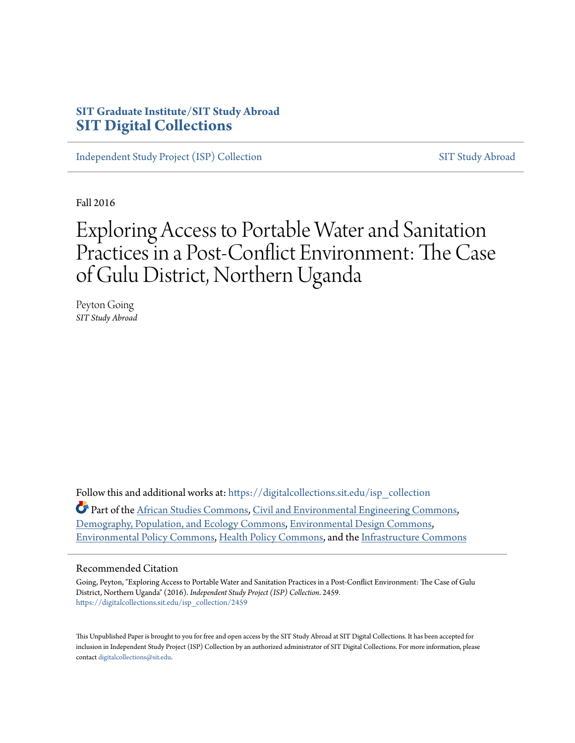### **SIT Graduate Institute/SIT Study Abroad [SIT Digital Collections](https://digitalcollections.sit.edu?utm_source=digitalcollections.sit.edu%2Fisp_collection%2F2459&utm_medium=PDF&utm_campaign=PDFCoverPages)**

[Independent Study Project \(ISP\) Collection](https://digitalcollections.sit.edu/isp_collection?utm_source=digitalcollections.sit.edu%2Fisp_collection%2F2459&utm_medium=PDF&utm_campaign=PDFCoverPages) [SIT Study Abroad](https://digitalcollections.sit.edu/study_abroad?utm_source=digitalcollections.sit.edu%2Fisp_collection%2F2459&utm_medium=PDF&utm_campaign=PDFCoverPages)

Fall 2016

# Exploring Access to Portable Water and Sanitation Practices in a Post-Conflict Environment: The Case of Gulu District, Northern Uganda

Peyton Going *SIT Study Abroad*

Follow this and additional works at: [https://digitalcollections.sit.edu/isp\\_collection](https://digitalcollections.sit.edu/isp_collection?utm_source=digitalcollections.sit.edu%2Fisp_collection%2F2459&utm_medium=PDF&utm_campaign=PDFCoverPages)

Part of the [African Studies Commons](http://network.bepress.com/hgg/discipline/1043?utm_source=digitalcollections.sit.edu%2Fisp_collection%2F2459&utm_medium=PDF&utm_campaign=PDFCoverPages), [Civil and Environmental Engineering Commons,](http://network.bepress.com/hgg/discipline/251?utm_source=digitalcollections.sit.edu%2Fisp_collection%2F2459&utm_medium=PDF&utm_campaign=PDFCoverPages) [Demography, Population, and Ecology Commons,](http://network.bepress.com/hgg/discipline/418?utm_source=digitalcollections.sit.edu%2Fisp_collection%2F2459&utm_medium=PDF&utm_campaign=PDFCoverPages) [Environmental Design Commons,](http://network.bepress.com/hgg/discipline/777?utm_source=digitalcollections.sit.edu%2Fisp_collection%2F2459&utm_medium=PDF&utm_campaign=PDFCoverPages) [Environmental Policy Commons,](http://network.bepress.com/hgg/discipline/1027?utm_source=digitalcollections.sit.edu%2Fisp_collection%2F2459&utm_medium=PDF&utm_campaign=PDFCoverPages) [Health Policy Commons](http://network.bepress.com/hgg/discipline/395?utm_source=digitalcollections.sit.edu%2Fisp_collection%2F2459&utm_medium=PDF&utm_campaign=PDFCoverPages), and the [Infrastructure Commons](http://network.bepress.com/hgg/discipline/1066?utm_source=digitalcollections.sit.edu%2Fisp_collection%2F2459&utm_medium=PDF&utm_campaign=PDFCoverPages)

#### Recommended Citation

Going, Peyton, "Exploring Access to Portable Water and Sanitation Practices in a Post-Conflict Environment: The Case of Gulu District, Northern Uganda" (2016). *Independent Study Project (ISP) Collection*. 2459. [https://digitalcollections.sit.edu/isp\\_collection/2459](https://digitalcollections.sit.edu/isp_collection/2459?utm_source=digitalcollections.sit.edu%2Fisp_collection%2F2459&utm_medium=PDF&utm_campaign=PDFCoverPages)

This Unpublished Paper is brought to you for free and open access by the SIT Study Abroad at SIT Digital Collections. It has been accepted for inclusion in Independent Study Project (ISP) Collection by an authorized administrator of SIT Digital Collections. For more information, please contact [digitalcollections@sit.edu](mailto:digitalcollections@sit.edu).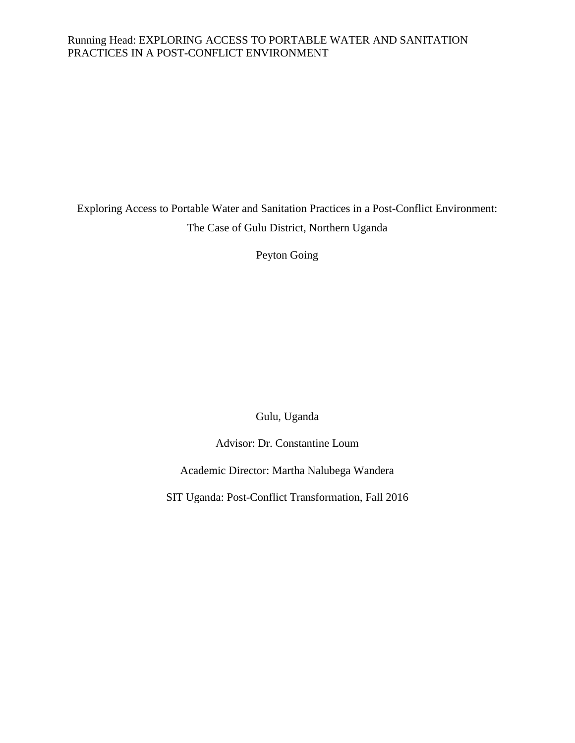#### Running Head: EXPLORING ACCESS TO PORTABLE WATER AND SANITATION PRACTICES IN A POST-CONFLICT ENVIRONMENT

Exploring Access to Portable Water and Sanitation Practices in a Post-Conflict Environment: The Case of Gulu District, Northern Uganda

Peyton Going

Gulu, Uganda

Advisor: Dr. Constantine Loum

Academic Director: Martha Nalubega Wandera

SIT Uganda: Post-Conflict Transformation, Fall 2016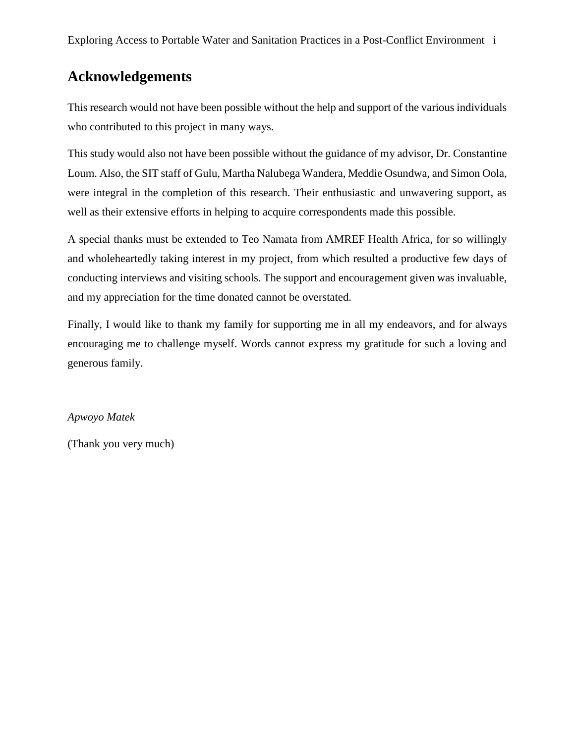# **Acknowledgements**

This research would not have been possible without the help and support of the various individuals who contributed to this project in many ways.

This study would also not have been possible without the guidance of my advisor, Dr. Constantine Loum. Also, the SIT staff of Gulu, Martha Nalubega Wandera, Meddie Osundwa, and Simon Oola, were integral in the completion of this research. Their enthusiastic and unwavering support, as well as their extensive efforts in helping to acquire correspondents made this possible.

A special thanks must be extended to Teo Namata from AMREF Health Africa, for so willingly and wholeheartedly taking interest in my project, from which resulted a productive few days of conducting interviews and visiting schools. The support and encouragement given was invaluable, and my appreciation for the time donated cannot be overstated.

Finally, I would like to thank my family for supporting me in all my endeavors, and for always encouraging me to challenge myself. Words cannot express my gratitude for such a loving and generous family.

*Apwoyo Matek*

(Thank you very much)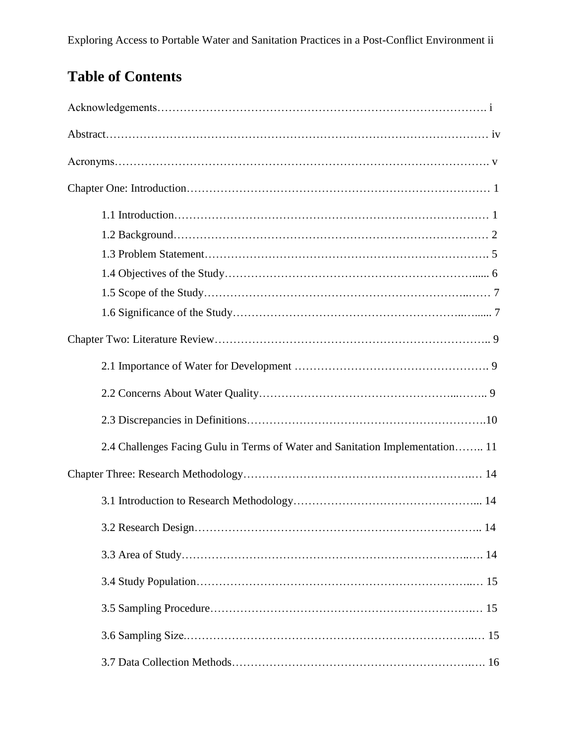# **Table of Contents**

| 2.4 Challenges Facing Gulu in Terms of Water and Sanitation Implementation 11 |
|-------------------------------------------------------------------------------|
|                                                                               |
|                                                                               |
|                                                                               |
|                                                                               |
|                                                                               |
|                                                                               |
|                                                                               |
|                                                                               |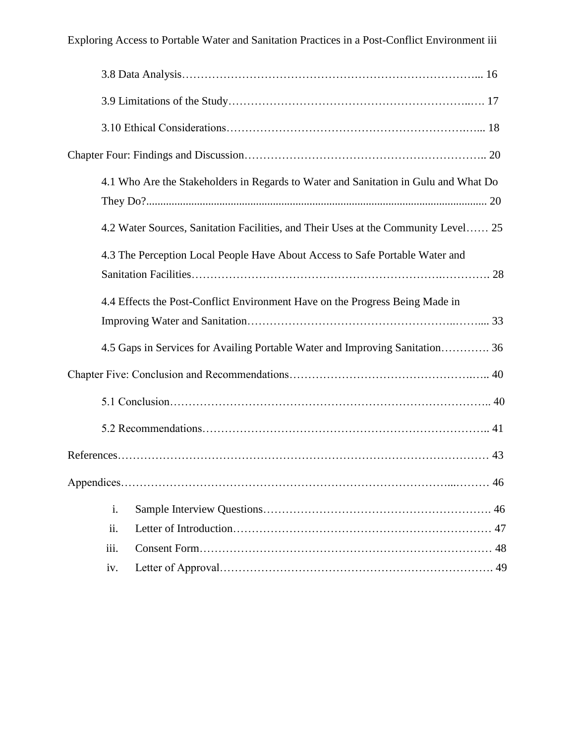|      | 4.1 Who Are the Stakeholders in Regards to Water and Sanitation in Gulu and What Do |
|------|-------------------------------------------------------------------------------------|
|      | 4.2 Water Sources, Sanitation Facilities, and Their Uses at the Community Level 25  |
|      | 4.3 The Perception Local People Have About Access to Safe Portable Water and        |
|      | 4.4 Effects the Post-Conflict Environment Have on the Progress Being Made in        |
|      | 4.5 Gaps in Services for Availing Portable Water and Improving Sanitation 36        |
|      |                                                                                     |
|      |                                                                                     |
|      |                                                                                     |
|      |                                                                                     |
|      | 46                                                                                  |
| i.   |                                                                                     |
| ii.  |                                                                                     |
| iii. |                                                                                     |
| iv.  |                                                                                     |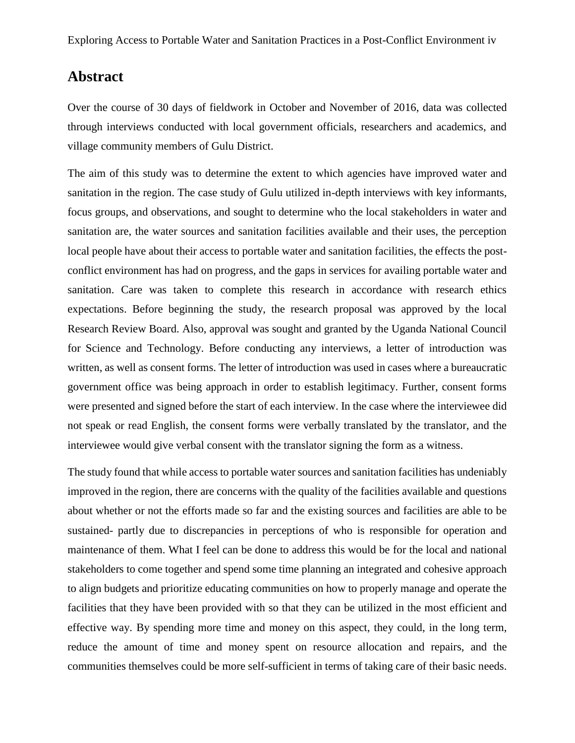# **Abstract**

Over the course of 30 days of fieldwork in October and November of 2016, data was collected through interviews conducted with local government officials, researchers and academics, and village community members of Gulu District.

The aim of this study was to determine the extent to which agencies have improved water and sanitation in the region. The case study of Gulu utilized in-depth interviews with key informants, focus groups, and observations, and sought to determine who the local stakeholders in water and sanitation are, the water sources and sanitation facilities available and their uses, the perception local people have about their access to portable water and sanitation facilities, the effects the postconflict environment has had on progress, and the gaps in services for availing portable water and sanitation. Care was taken to complete this research in accordance with research ethics expectations. Before beginning the study, the research proposal was approved by the local Research Review Board. Also, approval was sought and granted by the Uganda National Council for Science and Technology. Before conducting any interviews, a letter of introduction was written, as well as consent forms. The letter of introduction was used in cases where a bureaucratic government office was being approach in order to establish legitimacy. Further, consent forms were presented and signed before the start of each interview. In the case where the interviewee did not speak or read English, the consent forms were verbally translated by the translator, and the interviewee would give verbal consent with the translator signing the form as a witness.

The study found that while access to portable water sources and sanitation facilities has undeniably improved in the region, there are concerns with the quality of the facilities available and questions about whether or not the efforts made so far and the existing sources and facilities are able to be sustained- partly due to discrepancies in perceptions of who is responsible for operation and maintenance of them. What I feel can be done to address this would be for the local and national stakeholders to come together and spend some time planning an integrated and cohesive approach to align budgets and prioritize educating communities on how to properly manage and operate the facilities that they have been provided with so that they can be utilized in the most efficient and effective way. By spending more time and money on this aspect, they could, in the long term, reduce the amount of time and money spent on resource allocation and repairs, and the communities themselves could be more self-sufficient in terms of taking care of their basic needs.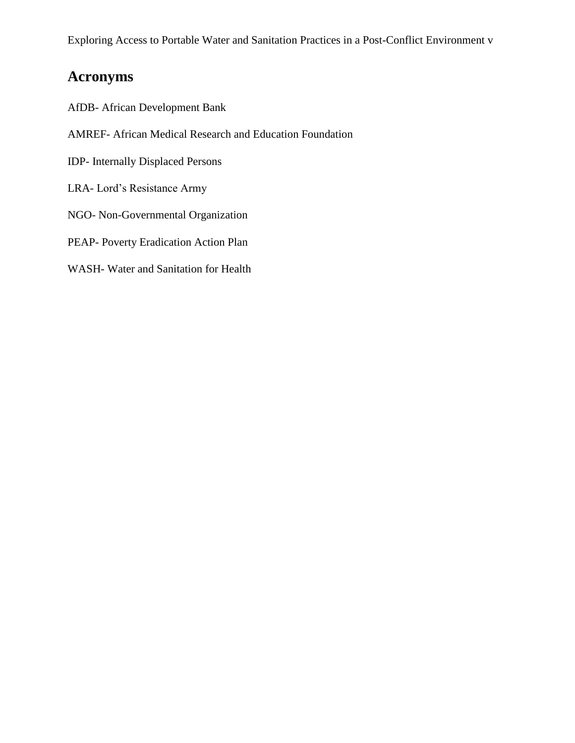# **Acronyms**

- AfDB- African Development Bank
- AMREF- African Medical Research and Education Foundation
- IDP- Internally Displaced Persons
- LRA- Lord's Resistance Army
- NGO- Non-Governmental Organization
- PEAP- Poverty Eradication Action Plan
- WASH- Water and Sanitation for Health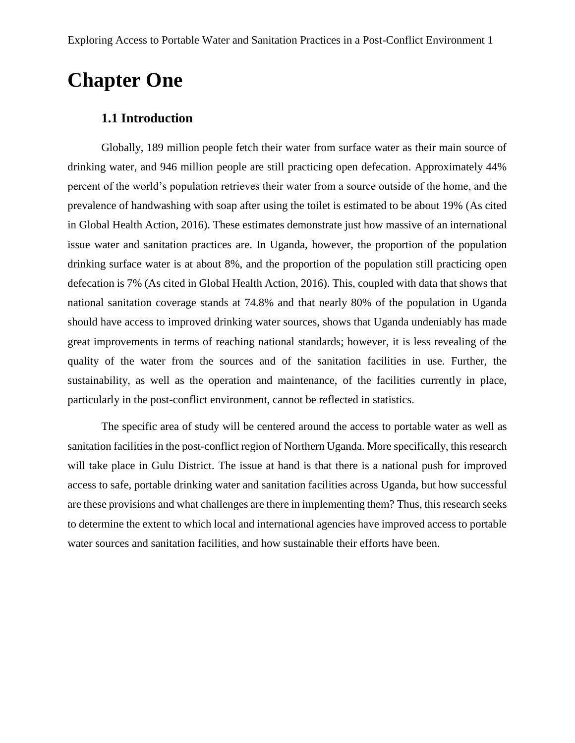# **Chapter One**

#### **1.1 Introduction**

Globally, 189 million people fetch their water from surface water as their main source of drinking water, and 946 million people are still practicing open defecation. Approximately 44% percent of the world's population retrieves their water from a source outside of the home, and the prevalence of handwashing with soap after using the toilet is estimated to be about 19% (As cited in Global Health Action, 2016). These estimates demonstrate just how massive of an international issue water and sanitation practices are. In Uganda, however, the proportion of the population drinking surface water is at about 8%, and the proportion of the population still practicing open defecation is 7% (As cited in Global Health Action, 2016). This, coupled with data that shows that national sanitation coverage stands at 74.8% and that nearly 80% of the population in Uganda should have access to improved drinking water sources, shows that Uganda undeniably has made great improvements in terms of reaching national standards; however, it is less revealing of the quality of the water from the sources and of the sanitation facilities in use. Further, the sustainability, as well as the operation and maintenance, of the facilities currently in place, particularly in the post-conflict environment, cannot be reflected in statistics.

The specific area of study will be centered around the access to portable water as well as sanitation facilities in the post-conflict region of Northern Uganda. More specifically, this research will take place in Gulu District. The issue at hand is that there is a national push for improved access to safe, portable drinking water and sanitation facilities across Uganda, but how successful are these provisions and what challenges are there in implementing them? Thus, this research seeks to determine the extent to which local and international agencies have improved access to portable water sources and sanitation facilities, and how sustainable their efforts have been.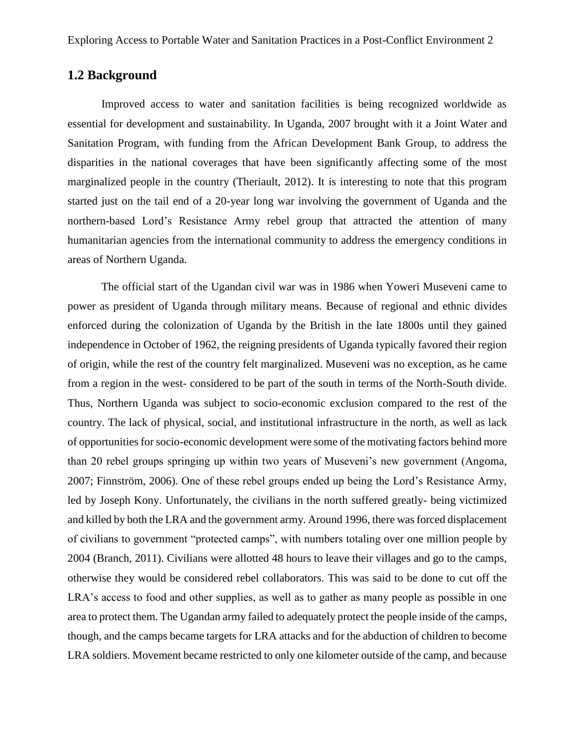### **1.2 Background**

Improved access to water and sanitation facilities is being recognized worldwide as essential for development and sustainability. In Uganda, 2007 brought with it a Joint Water and Sanitation Program, with funding from the African Development Bank Group, to address the disparities in the national coverages that have been significantly affecting some of the most marginalized people in the country (Theriault, 2012). It is interesting to note that this program started just on the tail end of a 20-year long war involving the government of Uganda and the northern-based Lord's Resistance Army rebel group that attracted the attention of many humanitarian agencies from the international community to address the emergency conditions in areas of Northern Uganda.

The official start of the Ugandan civil war was in 1986 when Yoweri Museveni came to power as president of Uganda through military means. Because of regional and ethnic divides enforced during the colonization of Uganda by the British in the late 1800s until they gained independence in October of 1962, the reigning presidents of Uganda typically favored their region of origin, while the rest of the country felt marginalized. Museveni was no exception, as he came from a region in the west- considered to be part of the south in terms of the North-South divide. Thus, Northern Uganda was subject to socio-economic exclusion compared to the rest of the country. The lack of physical, social, and institutional infrastructure in the north, as well as lack of opportunities for socio-economic development were some of the motivating factors behind more than 20 rebel groups springing up within two years of Museveni's new government (Angoma, 2007; Finnström, 2006). One of these rebel groups ended up being the Lord's Resistance Army, led by Joseph Kony. Unfortunately, the civilians in the north suffered greatly- being victimized and killed by both the LRA and the government army. Around 1996, there was forced displacement of civilians to government "protected camps", with numbers totaling over one million people by 2004 (Branch, 2011). Civilians were allotted 48 hours to leave their villages and go to the camps, otherwise they would be considered rebel collaborators. This was said to be done to cut off the LRA's access to food and other supplies, as well as to gather as many people as possible in one area to protect them. The Ugandan army failed to adequately protect the people inside of the camps, though, and the camps became targets for LRA attacks and for the abduction of children to become LRA soldiers. Movement became restricted to only one kilometer outside of the camp, and because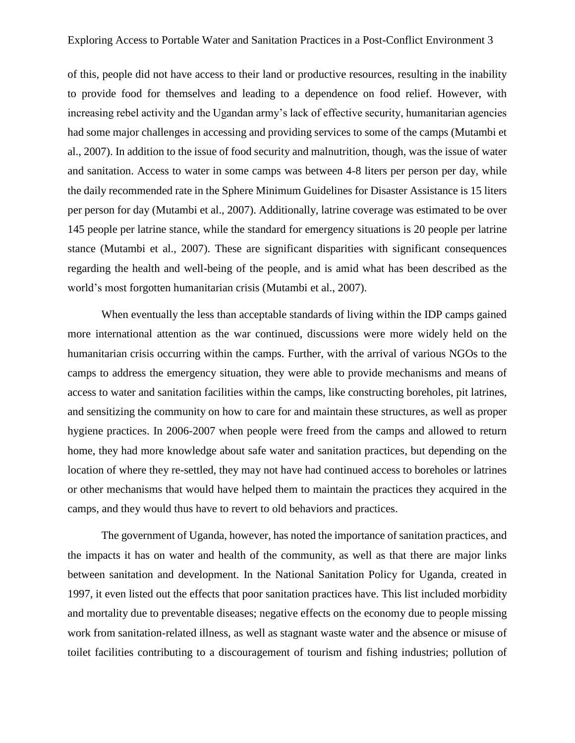of this, people did not have access to their land or productive resources, resulting in the inability to provide food for themselves and leading to a dependence on food relief. However, with increasing rebel activity and the Ugandan army's lack of effective security, humanitarian agencies had some major challenges in accessing and providing services to some of the camps (Mutambi et al., 2007). In addition to the issue of food security and malnutrition, though, was the issue of water and sanitation. Access to water in some camps was between 4-8 liters per person per day, while the daily recommended rate in the Sphere Minimum Guidelines for Disaster Assistance is 15 liters per person for day (Mutambi et al., 2007). Additionally, latrine coverage was estimated to be over 145 people per latrine stance, while the standard for emergency situations is 20 people per latrine stance (Mutambi et al., 2007). These are significant disparities with significant consequences regarding the health and well-being of the people, and is amid what has been described as the world's most forgotten humanitarian crisis (Mutambi et al., 2007).

When eventually the less than acceptable standards of living within the IDP camps gained more international attention as the war continued, discussions were more widely held on the humanitarian crisis occurring within the camps. Further, with the arrival of various NGOs to the camps to address the emergency situation, they were able to provide mechanisms and means of access to water and sanitation facilities within the camps, like constructing boreholes, pit latrines, and sensitizing the community on how to care for and maintain these structures, as well as proper hygiene practices. In 2006-2007 when people were freed from the camps and allowed to return home, they had more knowledge about safe water and sanitation practices, but depending on the location of where they re-settled, they may not have had continued access to boreholes or latrines or other mechanisms that would have helped them to maintain the practices they acquired in the camps, and they would thus have to revert to old behaviors and practices.

The government of Uganda, however, has noted the importance of sanitation practices, and the impacts it has on water and health of the community, as well as that there are major links between sanitation and development. In the National Sanitation Policy for Uganda, created in 1997, it even listed out the effects that poor sanitation practices have. This list included morbidity and mortality due to preventable diseases; negative effects on the economy due to people missing work from sanitation-related illness, as well as stagnant waste water and the absence or misuse of toilet facilities contributing to a discouragement of tourism and fishing industries; pollution of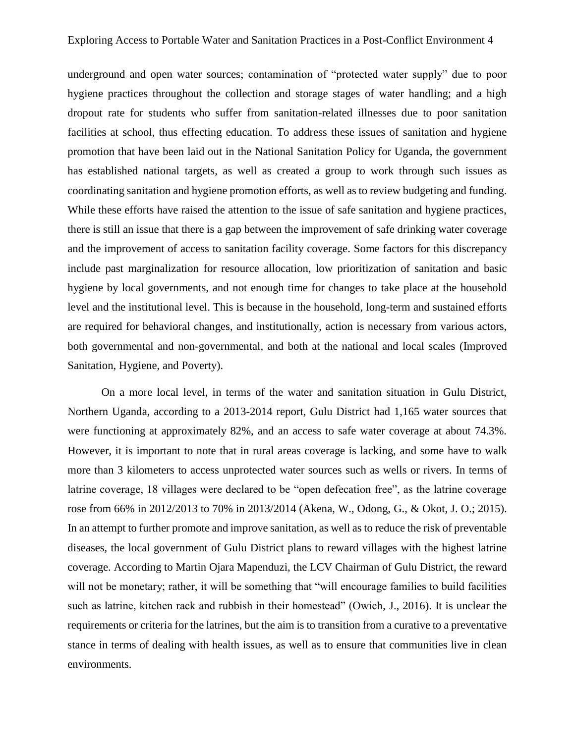underground and open water sources; contamination of "protected water supply" due to poor hygiene practices throughout the collection and storage stages of water handling; and a high dropout rate for students who suffer from sanitation-related illnesses due to poor sanitation facilities at school, thus effecting education. To address these issues of sanitation and hygiene promotion that have been laid out in the National Sanitation Policy for Uganda, the government has established national targets, as well as created a group to work through such issues as coordinating sanitation and hygiene promotion efforts, as well as to review budgeting and funding. While these efforts have raised the attention to the issue of safe sanitation and hygiene practices, there is still an issue that there is a gap between the improvement of safe drinking water coverage and the improvement of access to sanitation facility coverage. Some factors for this discrepancy include past marginalization for resource allocation, low prioritization of sanitation and basic hygiene by local governments, and not enough time for changes to take place at the household level and the institutional level. This is because in the household, long-term and sustained efforts are required for behavioral changes, and institutionally, action is necessary from various actors, both governmental and non-governmental, and both at the national and local scales (Improved Sanitation, Hygiene, and Poverty).

On a more local level, in terms of the water and sanitation situation in Gulu District, Northern Uganda, according to a 2013-2014 report, Gulu District had 1,165 water sources that were functioning at approximately 82%, and an access to safe water coverage at about 74.3%. However, it is important to note that in rural areas coverage is lacking, and some have to walk more than 3 kilometers to access unprotected water sources such as wells or rivers. In terms of latrine coverage, 18 villages were declared to be "open defecation free", as the latrine coverage rose from 66% in 2012/2013 to 70% in 2013/2014 (Akena, W., Odong, G., & Okot, J. O.; 2015). In an attempt to further promote and improve sanitation, as well as to reduce the risk of preventable diseases, the local government of Gulu District plans to reward villages with the highest latrine coverage. According to Martin Ojara Mapenduzi, the LCV Chairman of Gulu District, the reward will not be monetary; rather, it will be something that "will encourage families to build facilities such as latrine, kitchen rack and rubbish in their homestead" (Owich, J., 2016). It is unclear the requirements or criteria for the latrines, but the aim is to transition from a curative to a preventative stance in terms of dealing with health issues, as well as to ensure that communities live in clean environments.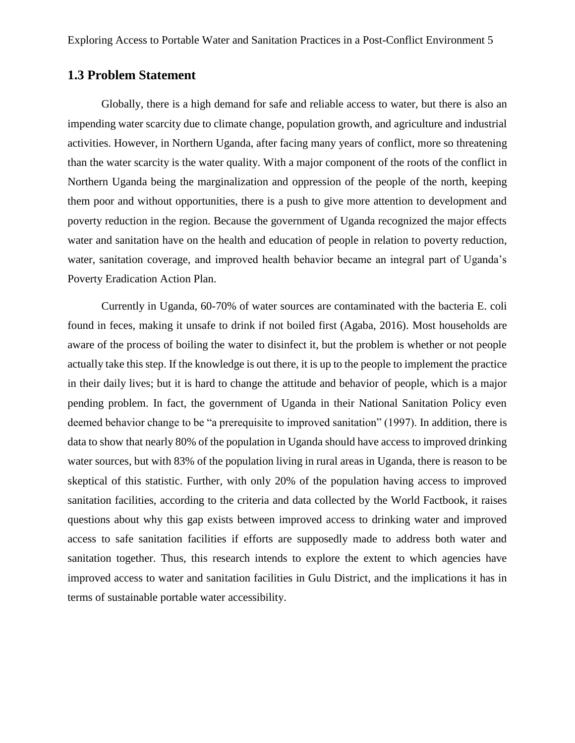### **1.3 Problem Statement**

Globally, there is a high demand for safe and reliable access to water, but there is also an impending water scarcity due to climate change, population growth, and agriculture and industrial activities. However, in Northern Uganda, after facing many years of conflict, more so threatening than the water scarcity is the water quality. With a major component of the roots of the conflict in Northern Uganda being the marginalization and oppression of the people of the north, keeping them poor and without opportunities, there is a push to give more attention to development and poverty reduction in the region. Because the government of Uganda recognized the major effects water and sanitation have on the health and education of people in relation to poverty reduction, water, sanitation coverage, and improved health behavior became an integral part of Uganda's Poverty Eradication Action Plan.

Currently in Uganda, 60-70% of water sources are contaminated with the bacteria E. coli found in feces, making it unsafe to drink if not boiled first (Agaba, 2016). Most households are aware of the process of boiling the water to disinfect it, but the problem is whether or not people actually take this step. If the knowledge is out there, it is up to the people to implement the practice in their daily lives; but it is hard to change the attitude and behavior of people, which is a major pending problem. In fact, the government of Uganda in their National Sanitation Policy even deemed behavior change to be "a prerequisite to improved sanitation" (1997). In addition, there is data to show that nearly 80% of the population in Uganda should have access to improved drinking water sources, but with 83% of the population living in rural areas in Uganda, there is reason to be skeptical of this statistic. Further, with only 20% of the population having access to improved sanitation facilities, according to the criteria and data collected by the World Factbook, it raises questions about why this gap exists between improved access to drinking water and improved access to safe sanitation facilities if efforts are supposedly made to address both water and sanitation together. Thus, this research intends to explore the extent to which agencies have improved access to water and sanitation facilities in Gulu District, and the implications it has in terms of sustainable portable water accessibility.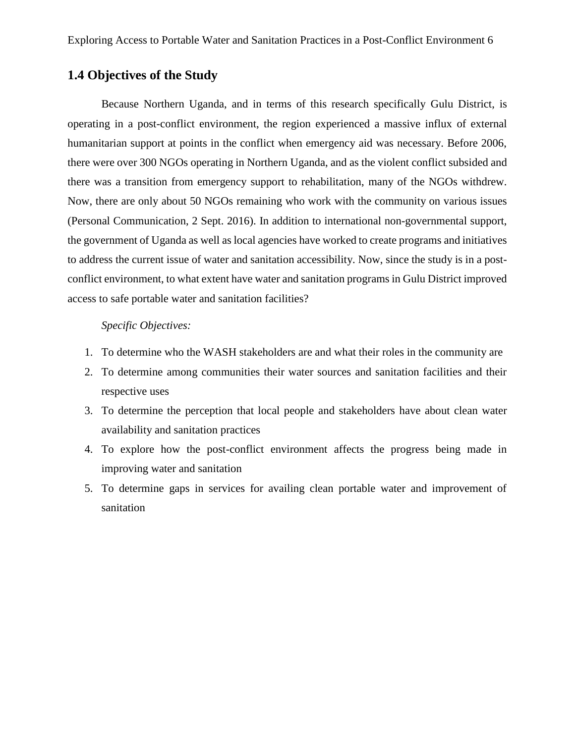## **1.4 Objectives of the Study**

Because Northern Uganda, and in terms of this research specifically Gulu District, is operating in a post-conflict environment, the region experienced a massive influx of external humanitarian support at points in the conflict when emergency aid was necessary. Before 2006, there were over 300 NGOs operating in Northern Uganda, and as the violent conflict subsided and there was a transition from emergency support to rehabilitation, many of the NGOs withdrew. Now, there are only about 50 NGOs remaining who work with the community on various issues (Personal Communication, 2 Sept. 2016). In addition to international non-governmental support, the government of Uganda as well as local agencies have worked to create programs and initiatives to address the current issue of water and sanitation accessibility. Now, since the study is in a postconflict environment, to what extent have water and sanitation programs in Gulu District improved access to safe portable water and sanitation facilities?

#### *Specific Objectives:*

- 1. To determine who the WASH stakeholders are and what their roles in the community are
- 2. To determine among communities their water sources and sanitation facilities and their respective uses
- 3. To determine the perception that local people and stakeholders have about clean water availability and sanitation practices
- 4. To explore how the post-conflict environment affects the progress being made in improving water and sanitation
- 5. To determine gaps in services for availing clean portable water and improvement of sanitation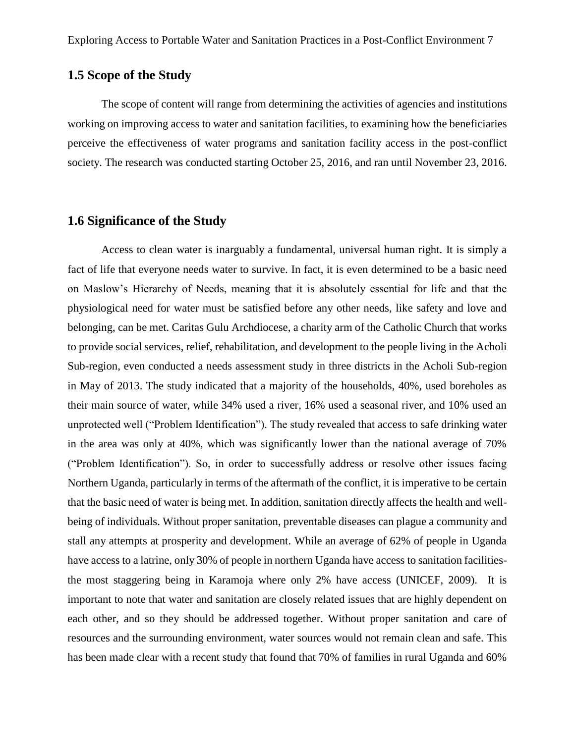### **1.5 Scope of the Study**

The scope of content will range from determining the activities of agencies and institutions working on improving access to water and sanitation facilities, to examining how the beneficiaries perceive the effectiveness of water programs and sanitation facility access in the post-conflict society. The research was conducted starting October 25, 2016, and ran until November 23, 2016.

### **1.6 Significance of the Study**

Access to clean water is inarguably a fundamental, universal human right. It is simply a fact of life that everyone needs water to survive. In fact, it is even determined to be a basic need on Maslow's Hierarchy of Needs, meaning that it is absolutely essential for life and that the physiological need for water must be satisfied before any other needs, like safety and love and belonging, can be met. Caritas Gulu Archdiocese, a charity arm of the Catholic Church that works to provide social services, relief, rehabilitation, and development to the people living in the Acholi Sub-region, even conducted a needs assessment study in three districts in the Acholi Sub-region in May of 2013. The study indicated that a majority of the households, 40%, used boreholes as their main source of water, while 34% used a river, 16% used a seasonal river, and 10% used an unprotected well ("Problem Identification"). The study revealed that access to safe drinking water in the area was only at 40%, which was significantly lower than the national average of 70% ("Problem Identification"). So, in order to successfully address or resolve other issues facing Northern Uganda, particularly in terms of the aftermath of the conflict, it is imperative to be certain that the basic need of water is being met. In addition, sanitation directly affects the health and wellbeing of individuals. Without proper sanitation, preventable diseases can plague a community and stall any attempts at prosperity and development. While an average of 62% of people in Uganda have access to a latrine, only 30% of people in northern Uganda have access to sanitation facilitiesthe most staggering being in Karamoja where only 2% have access (UNICEF, 2009). It is important to note that water and sanitation are closely related issues that are highly dependent on each other, and so they should be addressed together. Without proper sanitation and care of resources and the surrounding environment, water sources would not remain clean and safe. This has been made clear with a recent study that found that 70% of families in rural Uganda and 60%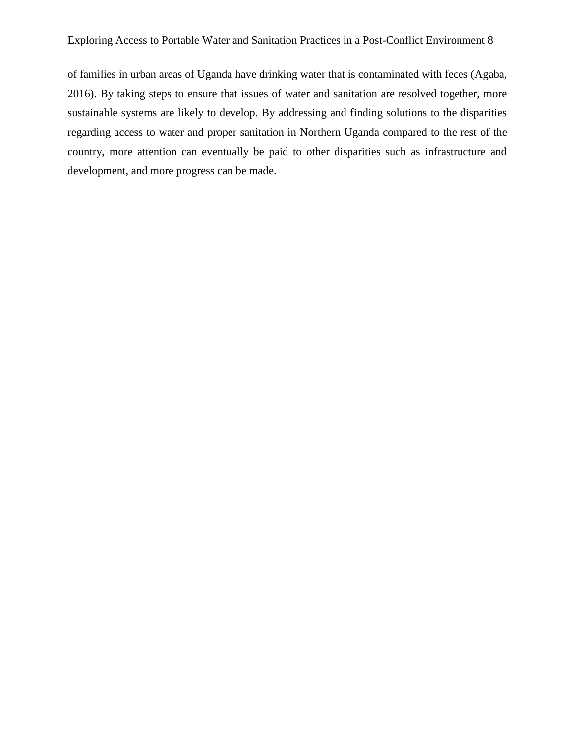of families in urban areas of Uganda have drinking water that is contaminated with feces (Agaba, 2016). By taking steps to ensure that issues of water and sanitation are resolved together, more sustainable systems are likely to develop. By addressing and finding solutions to the disparities regarding access to water and proper sanitation in Northern Uganda compared to the rest of the country, more attention can eventually be paid to other disparities such as infrastructure and development, and more progress can be made.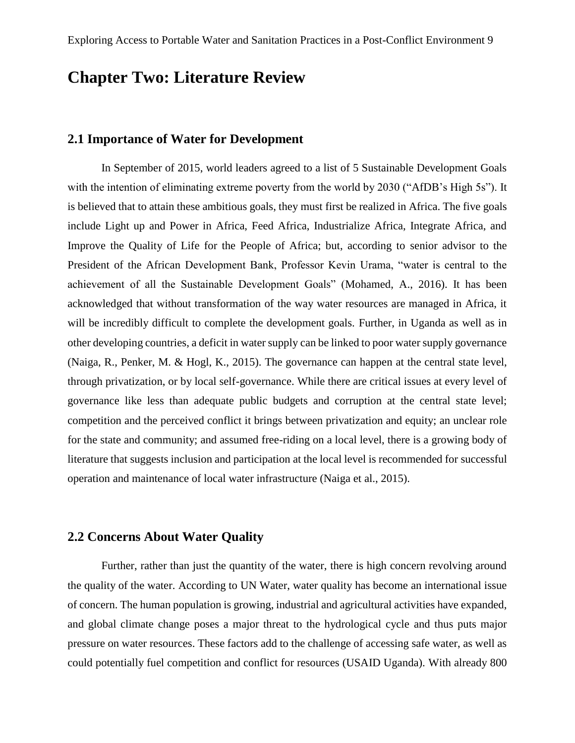# **Chapter Two: Literature Review**

#### **2.1 Importance of Water for Development**

In September of 2015, world leaders agreed to a list of 5 Sustainable Development Goals with the intention of eliminating extreme poverty from the world by 2030 ("AfDB's High 5s"). It is believed that to attain these ambitious goals, they must first be realized in Africa. The five goals include Light up and Power in Africa, Feed Africa, Industrialize Africa, Integrate Africa, and Improve the Quality of Life for the People of Africa; but, according to senior advisor to the President of the African Development Bank, Professor Kevin Urama, "water is central to the achievement of all the Sustainable Development Goals" (Mohamed, A., 2016). It has been acknowledged that without transformation of the way water resources are managed in Africa, it will be incredibly difficult to complete the development goals. Further, in Uganda as well as in other developing countries, a deficit in water supply can be linked to poor water supply governance (Naiga, R., Penker, M. & Hogl, K., 2015). The governance can happen at the central state level, through privatization, or by local self-governance. While there are critical issues at every level of governance like less than adequate public budgets and corruption at the central state level; competition and the perceived conflict it brings between privatization and equity; an unclear role for the state and community; and assumed free-riding on a local level, there is a growing body of literature that suggests inclusion and participation at the local level is recommended for successful operation and maintenance of local water infrastructure (Naiga et al., 2015).

#### **2.2 Concerns About Water Quality**

Further, rather than just the quantity of the water, there is high concern revolving around the quality of the water. According to UN Water, water quality has become an international issue of concern. The human population is growing, industrial and agricultural activities have expanded, and global climate change poses a major threat to the hydrological cycle and thus puts major pressure on water resources. These factors add to the challenge of accessing safe water, as well as could potentially fuel competition and conflict for resources (USAID Uganda). With already 800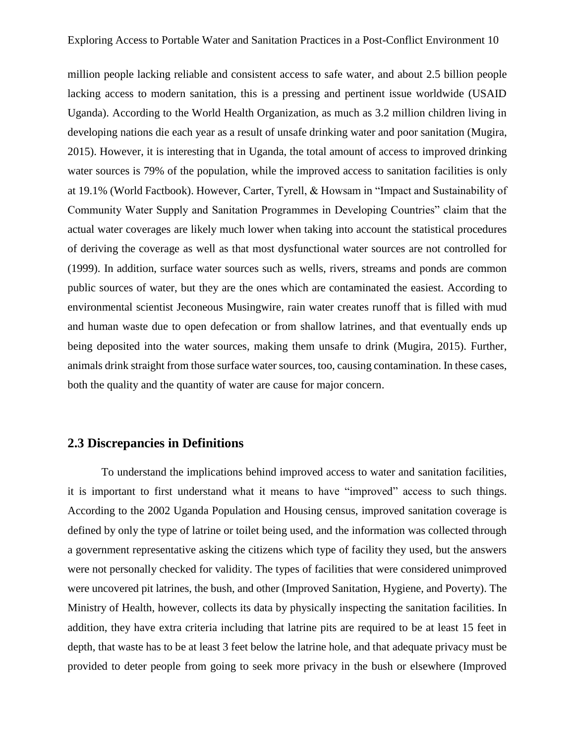million people lacking reliable and consistent access to safe water, and about 2.5 billion people lacking access to modern sanitation, this is a pressing and pertinent issue worldwide (USAID Uganda). According to the World Health Organization, as much as 3.2 million children living in developing nations die each year as a result of unsafe drinking water and poor sanitation (Mugira, 2015). However, it is interesting that in Uganda, the total amount of access to improved drinking water sources is 79% of the population, while the improved access to sanitation facilities is only at 19.1% (World Factbook). However, Carter, Tyrell, & Howsam in "Impact and Sustainability of Community Water Supply and Sanitation Programmes in Developing Countries" claim that the actual water coverages are likely much lower when taking into account the statistical procedures of deriving the coverage as well as that most dysfunctional water sources are not controlled for (1999). In addition, surface water sources such as wells, rivers, streams and ponds are common public sources of water, but they are the ones which are contaminated the easiest. According to environmental scientist Jeconeous Musingwire, rain water creates runoff that is filled with mud and human waste due to open defecation or from shallow latrines, and that eventually ends up being deposited into the water sources, making them unsafe to drink (Mugira, 2015). Further, animals drink straight from those surface water sources, too, causing contamination. In these cases, both the quality and the quantity of water are cause for major concern.

### **2.3 Discrepancies in Definitions**

To understand the implications behind improved access to water and sanitation facilities, it is important to first understand what it means to have "improved" access to such things. According to the 2002 Uganda Population and Housing census, improved sanitation coverage is defined by only the type of latrine or toilet being used, and the information was collected through a government representative asking the citizens which type of facility they used, but the answers were not personally checked for validity. The types of facilities that were considered unimproved were uncovered pit latrines, the bush, and other (Improved Sanitation, Hygiene, and Poverty). The Ministry of Health, however, collects its data by physically inspecting the sanitation facilities. In addition, they have extra criteria including that latrine pits are required to be at least 15 feet in depth, that waste has to be at least 3 feet below the latrine hole, and that adequate privacy must be provided to deter people from going to seek more privacy in the bush or elsewhere (Improved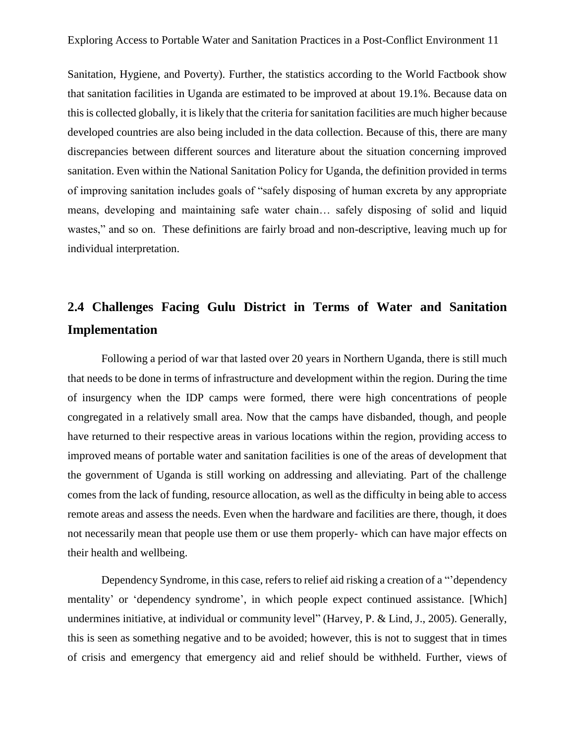Sanitation, Hygiene, and Poverty). Further, the statistics according to the World Factbook show that sanitation facilities in Uganda are estimated to be improved at about 19.1%. Because data on this is collected globally, it is likely that the criteria for sanitation facilities are much higher because developed countries are also being included in the data collection. Because of this, there are many discrepancies between different sources and literature about the situation concerning improved sanitation. Even within the National Sanitation Policy for Uganda, the definition provided in terms of improving sanitation includes goals of "safely disposing of human excreta by any appropriate means, developing and maintaining safe water chain… safely disposing of solid and liquid wastes," and so on. These definitions are fairly broad and non-descriptive, leaving much up for individual interpretation.

# **2.4 Challenges Facing Gulu District in Terms of Water and Sanitation Implementation**

Following a period of war that lasted over 20 years in Northern Uganda, there is still much that needs to be done in terms of infrastructure and development within the region. During the time of insurgency when the IDP camps were formed, there were high concentrations of people congregated in a relatively small area. Now that the camps have disbanded, though, and people have returned to their respective areas in various locations within the region, providing access to improved means of portable water and sanitation facilities is one of the areas of development that the government of Uganda is still working on addressing and alleviating. Part of the challenge comes from the lack of funding, resource allocation, as well as the difficulty in being able to access remote areas and assess the needs. Even when the hardware and facilities are there, though, it does not necessarily mean that people use them or use them properly- which can have major effects on their health and wellbeing.

Dependency Syndrome, in this case, refers to relief aid risking a creation of a "'dependency mentality' or 'dependency syndrome', in which people expect continued assistance. [Which] undermines initiative, at individual or community level" (Harvey, P. & Lind, J., 2005). Generally, this is seen as something negative and to be avoided; however, this is not to suggest that in times of crisis and emergency that emergency aid and relief should be withheld. Further, views of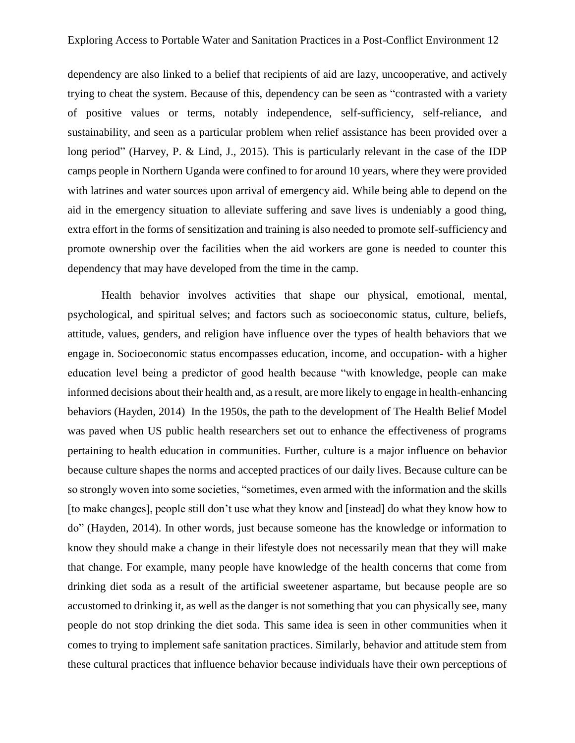dependency are also linked to a belief that recipients of aid are lazy, uncooperative, and actively trying to cheat the system. Because of this, dependency can be seen as "contrasted with a variety of positive values or terms, notably independence, self-sufficiency, self-reliance, and sustainability, and seen as a particular problem when relief assistance has been provided over a long period" (Harvey, P. & Lind, J., 2015). This is particularly relevant in the case of the IDP camps people in Northern Uganda were confined to for around 10 years, where they were provided with latrines and water sources upon arrival of emergency aid. While being able to depend on the aid in the emergency situation to alleviate suffering and save lives is undeniably a good thing, extra effort in the forms of sensitization and training is also needed to promote self-sufficiency and promote ownership over the facilities when the aid workers are gone is needed to counter this dependency that may have developed from the time in the camp.

Health behavior involves activities that shape our physical, emotional, mental, psychological, and spiritual selves; and factors such as socioeconomic status, culture, beliefs, attitude, values, genders, and religion have influence over the types of health behaviors that we engage in. Socioeconomic status encompasses education, income, and occupation- with a higher education level being a predictor of good health because "with knowledge, people can make informed decisions about their health and, as a result, are more likely to engage in health-enhancing behaviors (Hayden, 2014) In the 1950s, the path to the development of The Health Belief Model was paved when US public health researchers set out to enhance the effectiveness of programs pertaining to health education in communities. Further, culture is a major influence on behavior because culture shapes the norms and accepted practices of our daily lives. Because culture can be so strongly woven into some societies, "sometimes, even armed with the information and the skills [to make changes], people still don't use what they know and [instead] do what they know how to do" (Hayden, 2014). In other words, just because someone has the knowledge or information to know they should make a change in their lifestyle does not necessarily mean that they will make that change. For example, many people have knowledge of the health concerns that come from drinking diet soda as a result of the artificial sweetener aspartame, but because people are so accustomed to drinking it, as well as the danger is not something that you can physically see, many people do not stop drinking the diet soda. This same idea is seen in other communities when it comes to trying to implement safe sanitation practices. Similarly, behavior and attitude stem from these cultural practices that influence behavior because individuals have their own perceptions of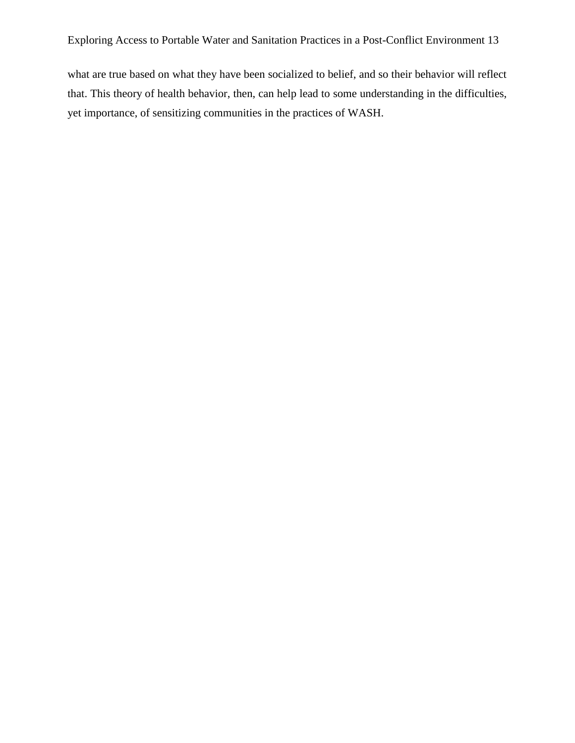what are true based on what they have been socialized to belief, and so their behavior will reflect that. This theory of health behavior, then, can help lead to some understanding in the difficulties, yet importance, of sensitizing communities in the practices of WASH.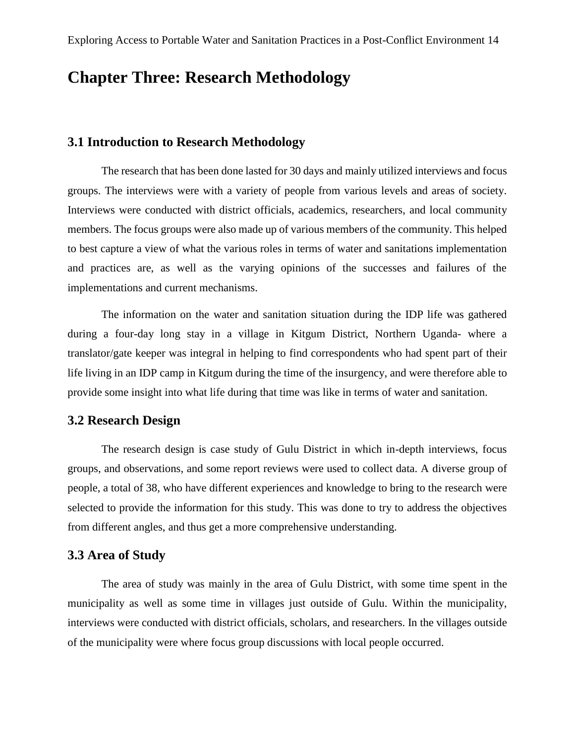# **Chapter Three: Research Methodology**

### **3.1 Introduction to Research Methodology**

The research that has been done lasted for 30 days and mainly utilized interviews and focus groups. The interviews were with a variety of people from various levels and areas of society. Interviews were conducted with district officials, academics, researchers, and local community members. The focus groups were also made up of various members of the community. This helped to best capture a view of what the various roles in terms of water and sanitations implementation and practices are, as well as the varying opinions of the successes and failures of the implementations and current mechanisms.

The information on the water and sanitation situation during the IDP life was gathered during a four-day long stay in a village in Kitgum District, Northern Uganda- where a translator/gate keeper was integral in helping to find correspondents who had spent part of their life living in an IDP camp in Kitgum during the time of the insurgency, and were therefore able to provide some insight into what life during that time was like in terms of water and sanitation.

#### **3.2 Research Design**

The research design is case study of Gulu District in which in-depth interviews, focus groups, and observations, and some report reviews were used to collect data. A diverse group of people, a total of 38, who have different experiences and knowledge to bring to the research were selected to provide the information for this study. This was done to try to address the objectives from different angles, and thus get a more comprehensive understanding.

#### **3.3 Area of Study**

The area of study was mainly in the area of Gulu District, with some time spent in the municipality as well as some time in villages just outside of Gulu. Within the municipality, interviews were conducted with district officials, scholars, and researchers. In the villages outside of the municipality were where focus group discussions with local people occurred.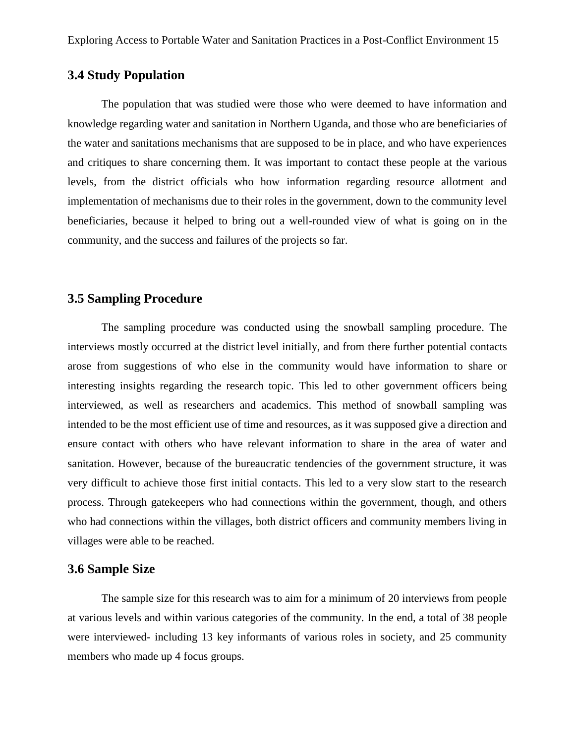### **3.4 Study Population**

The population that was studied were those who were deemed to have information and knowledge regarding water and sanitation in Northern Uganda, and those who are beneficiaries of the water and sanitations mechanisms that are supposed to be in place, and who have experiences and critiques to share concerning them. It was important to contact these people at the various levels, from the district officials who how information regarding resource allotment and implementation of mechanisms due to their roles in the government, down to the community level beneficiaries, because it helped to bring out a well-rounded view of what is going on in the community, and the success and failures of the projects so far.

#### **3.5 Sampling Procedure**

The sampling procedure was conducted using the snowball sampling procedure. The interviews mostly occurred at the district level initially, and from there further potential contacts arose from suggestions of who else in the community would have information to share or interesting insights regarding the research topic. This led to other government officers being interviewed, as well as researchers and academics. This method of snowball sampling was intended to be the most efficient use of time and resources, as it was supposed give a direction and ensure contact with others who have relevant information to share in the area of water and sanitation. However, because of the bureaucratic tendencies of the government structure, it was very difficult to achieve those first initial contacts. This led to a very slow start to the research process. Through gatekeepers who had connections within the government, though, and others who had connections within the villages, both district officers and community members living in villages were able to be reached.

### **3.6 Sample Size**

The sample size for this research was to aim for a minimum of 20 interviews from people at various levels and within various categories of the community. In the end, a total of 38 people were interviewed- including 13 key informants of various roles in society, and 25 community members who made up 4 focus groups.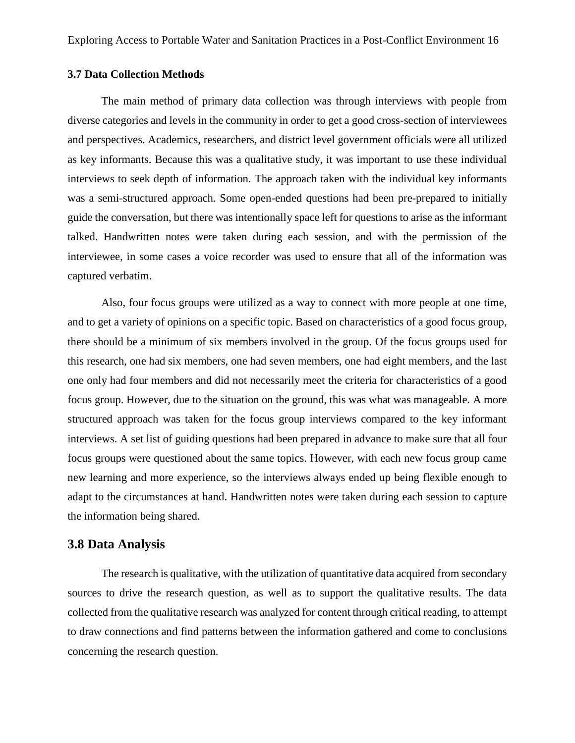#### **3.7 Data Collection Methods**

The main method of primary data collection was through interviews with people from diverse categories and levels in the community in order to get a good cross-section of interviewees and perspectives. Academics, researchers, and district level government officials were all utilized as key informants. Because this was a qualitative study, it was important to use these individual interviews to seek depth of information. The approach taken with the individual key informants was a semi-structured approach. Some open-ended questions had been pre-prepared to initially guide the conversation, but there was intentionally space left for questions to arise as the informant talked. Handwritten notes were taken during each session, and with the permission of the interviewee, in some cases a voice recorder was used to ensure that all of the information was captured verbatim.

Also, four focus groups were utilized as a way to connect with more people at one time, and to get a variety of opinions on a specific topic. Based on characteristics of a good focus group, there should be a minimum of six members involved in the group. Of the focus groups used for this research, one had six members, one had seven members, one had eight members, and the last one only had four members and did not necessarily meet the criteria for characteristics of a good focus group. However, due to the situation on the ground, this was what was manageable. A more structured approach was taken for the focus group interviews compared to the key informant interviews. A set list of guiding questions had been prepared in advance to make sure that all four focus groups were questioned about the same topics. However, with each new focus group came new learning and more experience, so the interviews always ended up being flexible enough to adapt to the circumstances at hand. Handwritten notes were taken during each session to capture the information being shared.

### **3.8 Data Analysis**

The research is qualitative, with the utilization of quantitative data acquired from secondary sources to drive the research question, as well as to support the qualitative results. The data collected from the qualitative research was analyzed for content through critical reading, to attempt to draw connections and find patterns between the information gathered and come to conclusions concerning the research question.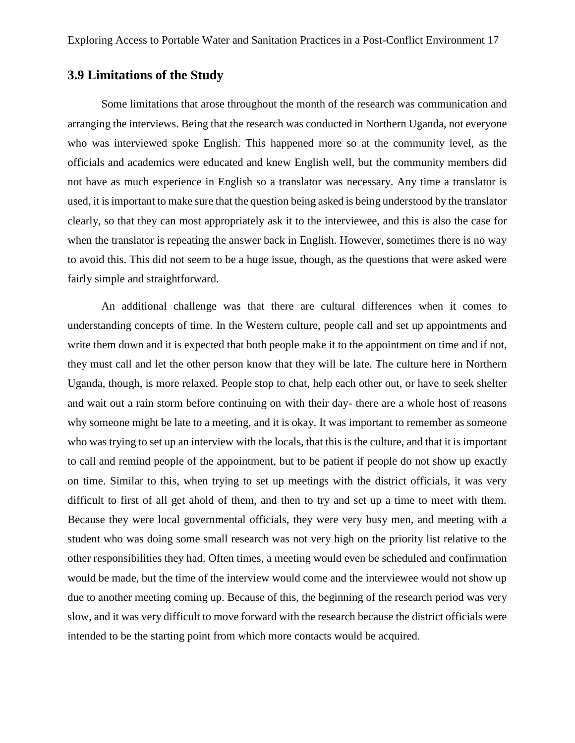### **3.9 Limitations of the Study**

Some limitations that arose throughout the month of the research was communication and arranging the interviews. Being that the research was conducted in Northern Uganda, not everyone who was interviewed spoke English. This happened more so at the community level, as the officials and academics were educated and knew English well, but the community members did not have as much experience in English so a translator was necessary. Any time a translator is used, it is important to make sure that the question being asked is being understood by the translator clearly, so that they can most appropriately ask it to the interviewee, and this is also the case for when the translator is repeating the answer back in English. However, sometimes there is no way to avoid this. This did not seem to be a huge issue, though, as the questions that were asked were fairly simple and straightforward.

An additional challenge was that there are cultural differences when it comes to understanding concepts of time. In the Western culture, people call and set up appointments and write them down and it is expected that both people make it to the appointment on time and if not, they must call and let the other person know that they will be late. The culture here in Northern Uganda, though, is more relaxed. People stop to chat, help each other out, or have to seek shelter and wait out a rain storm before continuing on with their day- there are a whole host of reasons why someone might be late to a meeting, and it is okay. It was important to remember as someone who was trying to set up an interview with the locals, that this is the culture, and that it is important to call and remind people of the appointment, but to be patient if people do not show up exactly on time. Similar to this, when trying to set up meetings with the district officials, it was very difficult to first of all get ahold of them, and then to try and set up a time to meet with them. Because they were local governmental officials, they were very busy men, and meeting with a student who was doing some small research was not very high on the priority list relative to the other responsibilities they had. Often times, a meeting would even be scheduled and confirmation would be made, but the time of the interview would come and the interviewee would not show up due to another meeting coming up. Because of this, the beginning of the research period was very slow, and it was very difficult to move forward with the research because the district officials were intended to be the starting point from which more contacts would be acquired.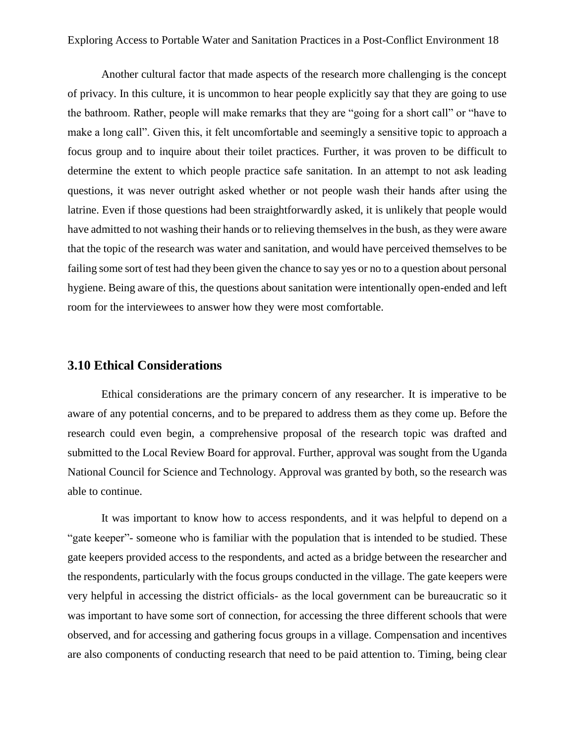Another cultural factor that made aspects of the research more challenging is the concept of privacy. In this culture, it is uncommon to hear people explicitly say that they are going to use the bathroom. Rather, people will make remarks that they are "going for a short call" or "have to make a long call". Given this, it felt uncomfortable and seemingly a sensitive topic to approach a focus group and to inquire about their toilet practices. Further, it was proven to be difficult to determine the extent to which people practice safe sanitation. In an attempt to not ask leading questions, it was never outright asked whether or not people wash their hands after using the latrine. Even if those questions had been straightforwardly asked, it is unlikely that people would have admitted to not washing their hands or to relieving themselves in the bush, as they were aware that the topic of the research was water and sanitation, and would have perceived themselves to be failing some sort of test had they been given the chance to say yes or no to a question about personal hygiene. Being aware of this, the questions about sanitation were intentionally open-ended and left room for the interviewees to answer how they were most comfortable.

#### **3.10 Ethical Considerations**

Ethical considerations are the primary concern of any researcher. It is imperative to be aware of any potential concerns, and to be prepared to address them as they come up. Before the research could even begin, a comprehensive proposal of the research topic was drafted and submitted to the Local Review Board for approval. Further, approval was sought from the Uganda National Council for Science and Technology. Approval was granted by both, so the research was able to continue.

It was important to know how to access respondents, and it was helpful to depend on a "gate keeper"- someone who is familiar with the population that is intended to be studied. These gate keepers provided access to the respondents, and acted as a bridge between the researcher and the respondents, particularly with the focus groups conducted in the village. The gate keepers were very helpful in accessing the district officials- as the local government can be bureaucratic so it was important to have some sort of connection, for accessing the three different schools that were observed, and for accessing and gathering focus groups in a village. Compensation and incentives are also components of conducting research that need to be paid attention to. Timing, being clear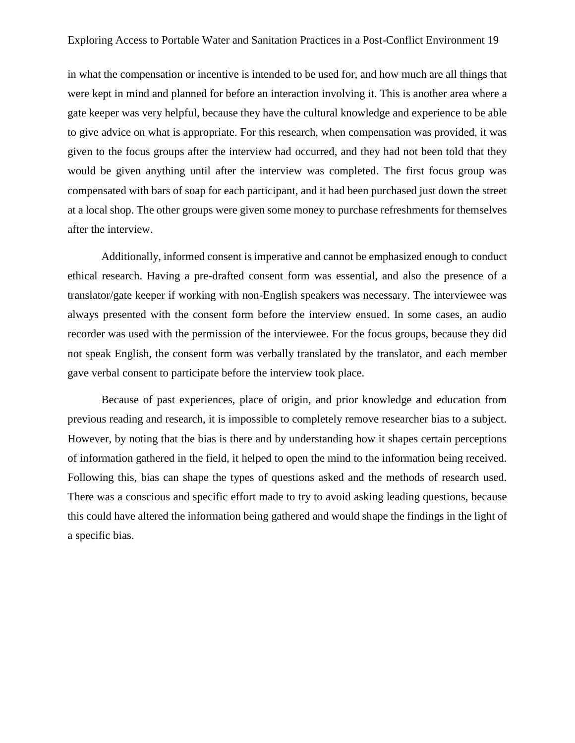in what the compensation or incentive is intended to be used for, and how much are all things that were kept in mind and planned for before an interaction involving it. This is another area where a gate keeper was very helpful, because they have the cultural knowledge and experience to be able to give advice on what is appropriate. For this research, when compensation was provided, it was given to the focus groups after the interview had occurred, and they had not been told that they would be given anything until after the interview was completed. The first focus group was compensated with bars of soap for each participant, and it had been purchased just down the street at a local shop. The other groups were given some money to purchase refreshments for themselves after the interview.

Additionally, informed consent is imperative and cannot be emphasized enough to conduct ethical research. Having a pre-drafted consent form was essential, and also the presence of a translator/gate keeper if working with non-English speakers was necessary. The interviewee was always presented with the consent form before the interview ensued. In some cases, an audio recorder was used with the permission of the interviewee. For the focus groups, because they did not speak English, the consent form was verbally translated by the translator, and each member gave verbal consent to participate before the interview took place.

Because of past experiences, place of origin, and prior knowledge and education from previous reading and research, it is impossible to completely remove researcher bias to a subject. However, by noting that the bias is there and by understanding how it shapes certain perceptions of information gathered in the field, it helped to open the mind to the information being received. Following this, bias can shape the types of questions asked and the methods of research used. There was a conscious and specific effort made to try to avoid asking leading questions, because this could have altered the information being gathered and would shape the findings in the light of a specific bias.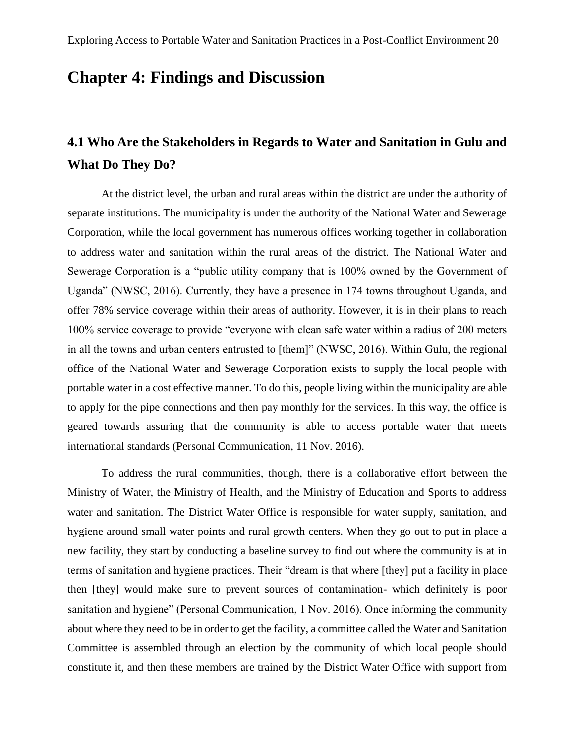# **Chapter 4: Findings and Discussion**

# **4.1 Who Are the Stakeholders in Regards to Water and Sanitation in Gulu and What Do They Do?**

At the district level, the urban and rural areas within the district are under the authority of separate institutions. The municipality is under the authority of the National Water and Sewerage Corporation, while the local government has numerous offices working together in collaboration to address water and sanitation within the rural areas of the district. The National Water and Sewerage Corporation is a "public utility company that is 100% owned by the Government of Uganda" (NWSC, 2016). Currently, they have a presence in 174 towns throughout Uganda, and offer 78% service coverage within their areas of authority. However, it is in their plans to reach 100% service coverage to provide "everyone with clean safe water within a radius of 200 meters in all the towns and urban centers entrusted to [them]" (NWSC, 2016). Within Gulu, the regional office of the National Water and Sewerage Corporation exists to supply the local people with portable water in a cost effective manner. To do this, people living within the municipality are able to apply for the pipe connections and then pay monthly for the services. In this way, the office is geared towards assuring that the community is able to access portable water that meets international standards (Personal Communication, 11 Nov. 2016).

To address the rural communities, though, there is a collaborative effort between the Ministry of Water, the Ministry of Health, and the Ministry of Education and Sports to address water and sanitation. The District Water Office is responsible for water supply, sanitation, and hygiene around small water points and rural growth centers. When they go out to put in place a new facility, they start by conducting a baseline survey to find out where the community is at in terms of sanitation and hygiene practices. Their "dream is that where [they] put a facility in place then [they] would make sure to prevent sources of contamination- which definitely is poor sanitation and hygiene" (Personal Communication, 1 Nov. 2016). Once informing the community about where they need to be in order to get the facility, a committee called the Water and Sanitation Committee is assembled through an election by the community of which local people should constitute it, and then these members are trained by the District Water Office with support from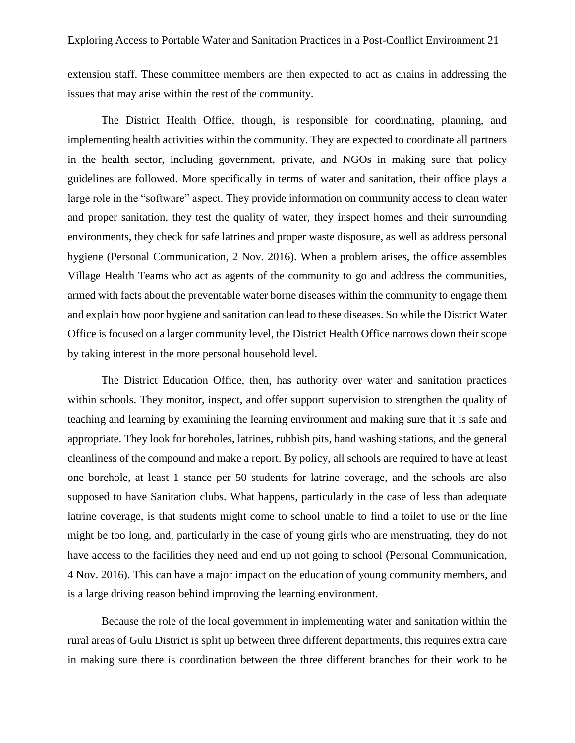extension staff. These committee members are then expected to act as chains in addressing the issues that may arise within the rest of the community.

The District Health Office, though, is responsible for coordinating, planning, and implementing health activities within the community. They are expected to coordinate all partners in the health sector, including government, private, and NGOs in making sure that policy guidelines are followed. More specifically in terms of water and sanitation, their office plays a large role in the "software" aspect. They provide information on community access to clean water and proper sanitation, they test the quality of water, they inspect homes and their surrounding environments, they check for safe latrines and proper waste disposure, as well as address personal hygiene (Personal Communication, 2 Nov. 2016). When a problem arises, the office assembles Village Health Teams who act as agents of the community to go and address the communities, armed with facts about the preventable water borne diseases within the community to engage them and explain how poor hygiene and sanitation can lead to these diseases. So while the District Water Office is focused on a larger community level, the District Health Office narrows down their scope by taking interest in the more personal household level.

The District Education Office, then, has authority over water and sanitation practices within schools. They monitor, inspect, and offer support supervision to strengthen the quality of teaching and learning by examining the learning environment and making sure that it is safe and appropriate. They look for boreholes, latrines, rubbish pits, hand washing stations, and the general cleanliness of the compound and make a report. By policy, all schools are required to have at least one borehole, at least 1 stance per 50 students for latrine coverage, and the schools are also supposed to have Sanitation clubs. What happens, particularly in the case of less than adequate latrine coverage, is that students might come to school unable to find a toilet to use or the line might be too long, and, particularly in the case of young girls who are menstruating, they do not have access to the facilities they need and end up not going to school (Personal Communication, 4 Nov. 2016). This can have a major impact on the education of young community members, and is a large driving reason behind improving the learning environment.

Because the role of the local government in implementing water and sanitation within the rural areas of Gulu District is split up between three different departments, this requires extra care in making sure there is coordination between the three different branches for their work to be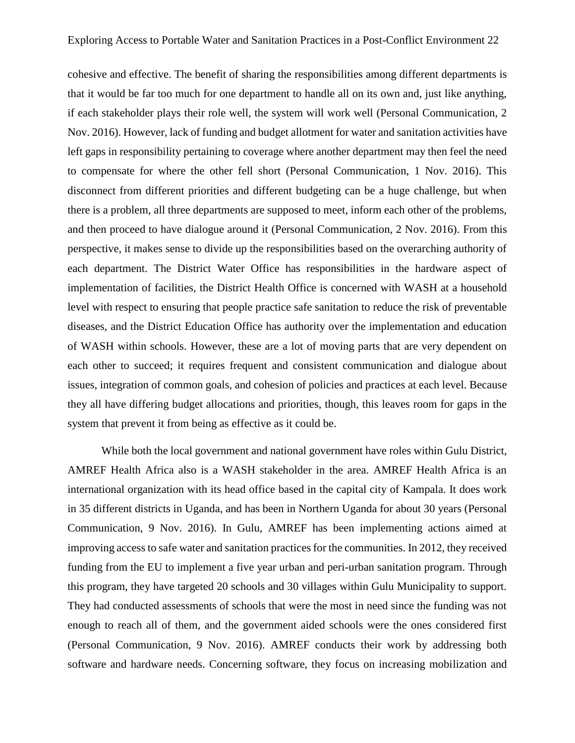cohesive and effective. The benefit of sharing the responsibilities among different departments is that it would be far too much for one department to handle all on its own and, just like anything, if each stakeholder plays their role well, the system will work well (Personal Communication, 2 Nov. 2016). However, lack of funding and budget allotment for water and sanitation activities have left gaps in responsibility pertaining to coverage where another department may then feel the need to compensate for where the other fell short (Personal Communication, 1 Nov. 2016). This disconnect from different priorities and different budgeting can be a huge challenge, but when there is a problem, all three departments are supposed to meet, inform each other of the problems, and then proceed to have dialogue around it (Personal Communication, 2 Nov. 2016). From this perspective, it makes sense to divide up the responsibilities based on the overarching authority of each department. The District Water Office has responsibilities in the hardware aspect of implementation of facilities, the District Health Office is concerned with WASH at a household level with respect to ensuring that people practice safe sanitation to reduce the risk of preventable diseases, and the District Education Office has authority over the implementation and education of WASH within schools. However, these are a lot of moving parts that are very dependent on each other to succeed; it requires frequent and consistent communication and dialogue about issues, integration of common goals, and cohesion of policies and practices at each level. Because they all have differing budget allocations and priorities, though, this leaves room for gaps in the system that prevent it from being as effective as it could be.

While both the local government and national government have roles within Gulu District, AMREF Health Africa also is a WASH stakeholder in the area. AMREF Health Africa is an international organization with its head office based in the capital city of Kampala. It does work in 35 different districts in Uganda, and has been in Northern Uganda for about 30 years (Personal Communication, 9 Nov. 2016). In Gulu, AMREF has been implementing actions aimed at improving access to safe water and sanitation practices for the communities. In 2012, they received funding from the EU to implement a five year urban and peri-urban sanitation program. Through this program, they have targeted 20 schools and 30 villages within Gulu Municipality to support. They had conducted assessments of schools that were the most in need since the funding was not enough to reach all of them, and the government aided schools were the ones considered first (Personal Communication, 9 Nov. 2016). AMREF conducts their work by addressing both software and hardware needs. Concerning software, they focus on increasing mobilization and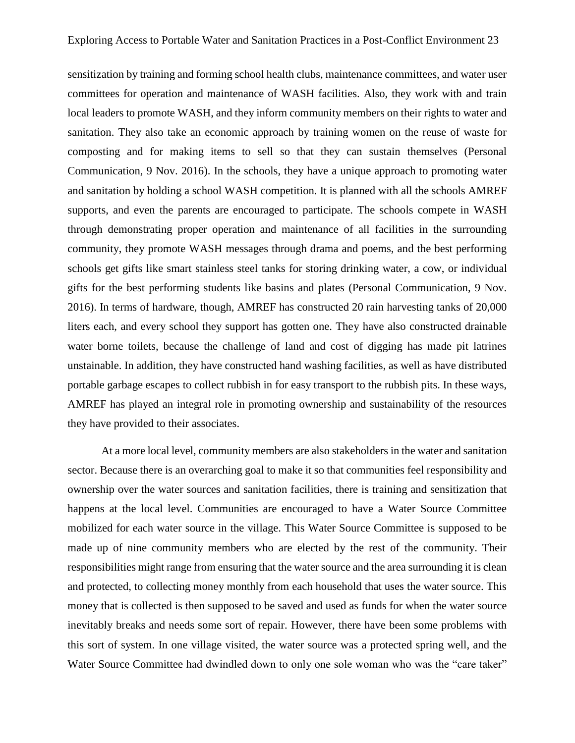sensitization by training and forming school health clubs, maintenance committees, and water user committees for operation and maintenance of WASH facilities. Also, they work with and train local leaders to promote WASH, and they inform community members on their rights to water and sanitation. They also take an economic approach by training women on the reuse of waste for composting and for making items to sell so that they can sustain themselves (Personal Communication, 9 Nov. 2016). In the schools, they have a unique approach to promoting water and sanitation by holding a school WASH competition. It is planned with all the schools AMREF supports, and even the parents are encouraged to participate. The schools compete in WASH through demonstrating proper operation and maintenance of all facilities in the surrounding community, they promote WASH messages through drama and poems, and the best performing schools get gifts like smart stainless steel tanks for storing drinking water, a cow, or individual gifts for the best performing students like basins and plates (Personal Communication, 9 Nov. 2016). In terms of hardware, though, AMREF has constructed 20 rain harvesting tanks of 20,000 liters each, and every school they support has gotten one. They have also constructed drainable water borne toilets, because the challenge of land and cost of digging has made pit latrines unstainable. In addition, they have constructed hand washing facilities, as well as have distributed portable garbage escapes to collect rubbish in for easy transport to the rubbish pits. In these ways, AMREF has played an integral role in promoting ownership and sustainability of the resources they have provided to their associates.

At a more local level, community members are also stakeholders in the water and sanitation sector. Because there is an overarching goal to make it so that communities feel responsibility and ownership over the water sources and sanitation facilities, there is training and sensitization that happens at the local level. Communities are encouraged to have a Water Source Committee mobilized for each water source in the village. This Water Source Committee is supposed to be made up of nine community members who are elected by the rest of the community. Their responsibilities might range from ensuring that the water source and the area surrounding it is clean and protected, to collecting money monthly from each household that uses the water source. This money that is collected is then supposed to be saved and used as funds for when the water source inevitably breaks and needs some sort of repair. However, there have been some problems with this sort of system. In one village visited, the water source was a protected spring well, and the Water Source Committee had dwindled down to only one sole woman who was the "care taker"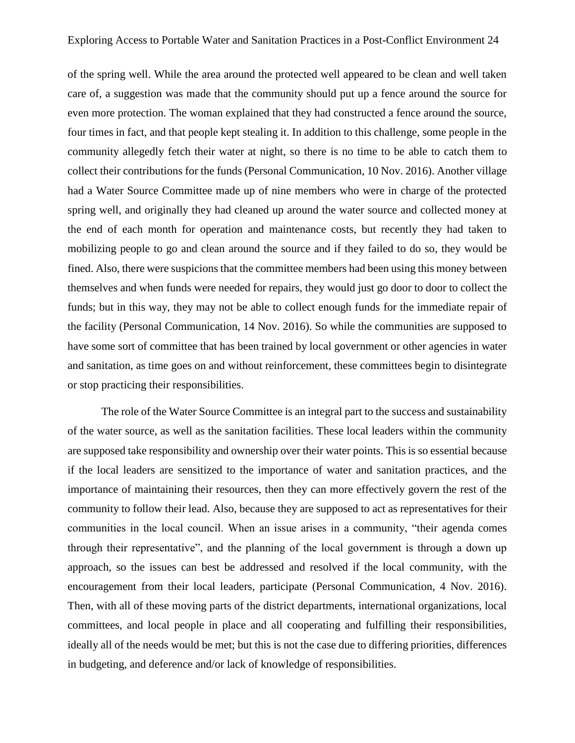of the spring well. While the area around the protected well appeared to be clean and well taken care of, a suggestion was made that the community should put up a fence around the source for even more protection. The woman explained that they had constructed a fence around the source, four times in fact, and that people kept stealing it. In addition to this challenge, some people in the community allegedly fetch their water at night, so there is no time to be able to catch them to collect their contributions for the funds (Personal Communication, 10 Nov. 2016). Another village had a Water Source Committee made up of nine members who were in charge of the protected spring well, and originally they had cleaned up around the water source and collected money at the end of each month for operation and maintenance costs, but recently they had taken to mobilizing people to go and clean around the source and if they failed to do so, they would be fined. Also, there were suspicions that the committee members had been using this money between themselves and when funds were needed for repairs, they would just go door to door to collect the funds; but in this way, they may not be able to collect enough funds for the immediate repair of the facility (Personal Communication, 14 Nov. 2016). So while the communities are supposed to have some sort of committee that has been trained by local government or other agencies in water and sanitation, as time goes on and without reinforcement, these committees begin to disintegrate or stop practicing their responsibilities.

The role of the Water Source Committee is an integral part to the success and sustainability of the water source, as well as the sanitation facilities. These local leaders within the community are supposed take responsibility and ownership over their water points. This is so essential because if the local leaders are sensitized to the importance of water and sanitation practices, and the importance of maintaining their resources, then they can more effectively govern the rest of the community to follow their lead. Also, because they are supposed to act as representatives for their communities in the local council. When an issue arises in a community, "their agenda comes through their representative", and the planning of the local government is through a down up approach, so the issues can best be addressed and resolved if the local community, with the encouragement from their local leaders, participate (Personal Communication, 4 Nov. 2016). Then, with all of these moving parts of the district departments, international organizations, local committees, and local people in place and all cooperating and fulfilling their responsibilities, ideally all of the needs would be met; but this is not the case due to differing priorities, differences in budgeting, and deference and/or lack of knowledge of responsibilities.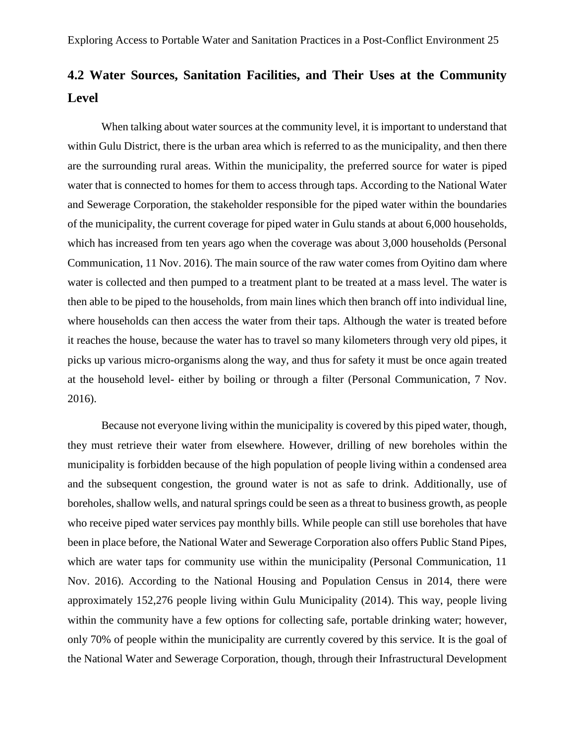# **4.2 Water Sources, Sanitation Facilities, and Their Uses at the Community Level**

When talking about water sources at the community level, it is important to understand that within Gulu District, there is the urban area which is referred to as the municipality, and then there are the surrounding rural areas. Within the municipality, the preferred source for water is piped water that is connected to homes for them to access through taps. According to the National Water and Sewerage Corporation, the stakeholder responsible for the piped water within the boundaries of the municipality, the current coverage for piped water in Gulu stands at about 6,000 households, which has increased from ten years ago when the coverage was about 3,000 households (Personal Communication, 11 Nov. 2016). The main source of the raw water comes from Oyitino dam where water is collected and then pumped to a treatment plant to be treated at a mass level. The water is then able to be piped to the households, from main lines which then branch off into individual line, where households can then access the water from their taps. Although the water is treated before it reaches the house, because the water has to travel so many kilometers through very old pipes, it picks up various micro-organisms along the way, and thus for safety it must be once again treated at the household level- either by boiling or through a filter (Personal Communication, 7 Nov. 2016).

Because not everyone living within the municipality is covered by this piped water, though, they must retrieve their water from elsewhere. However, drilling of new boreholes within the municipality is forbidden because of the high population of people living within a condensed area and the subsequent congestion, the ground water is not as safe to drink. Additionally, use of boreholes, shallow wells, and natural springs could be seen as a threat to business growth, as people who receive piped water services pay monthly bills. While people can still use boreholes that have been in place before, the National Water and Sewerage Corporation also offers Public Stand Pipes, which are water taps for community use within the municipality (Personal Communication, 11 Nov. 2016). According to the National Housing and Population Census in 2014, there were approximately 152,276 people living within Gulu Municipality (2014). This way, people living within the community have a few options for collecting safe, portable drinking water; however, only 70% of people within the municipality are currently covered by this service. It is the goal of the National Water and Sewerage Corporation, though, through their Infrastructural Development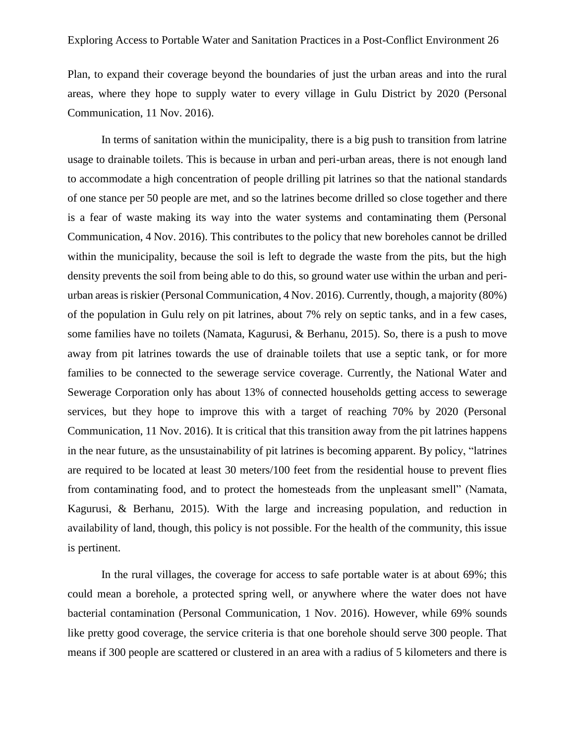Plan, to expand their coverage beyond the boundaries of just the urban areas and into the rural areas, where they hope to supply water to every village in Gulu District by 2020 (Personal Communication, 11 Nov. 2016).

In terms of sanitation within the municipality, there is a big push to transition from latrine usage to drainable toilets. This is because in urban and peri-urban areas, there is not enough land to accommodate a high concentration of people drilling pit latrines so that the national standards of one stance per 50 people are met, and so the latrines become drilled so close together and there is a fear of waste making its way into the water systems and contaminating them (Personal Communication, 4 Nov. 2016). This contributes to the policy that new boreholes cannot be drilled within the municipality, because the soil is left to degrade the waste from the pits, but the high density prevents the soil from being able to do this, so ground water use within the urban and periurban areas is riskier (Personal Communication, 4 Nov. 2016). Currently, though, a majority (80%) of the population in Gulu rely on pit latrines, about 7% rely on septic tanks, and in a few cases, some families have no toilets (Namata, Kagurusi, & Berhanu, 2015). So, there is a push to move away from pit latrines towards the use of drainable toilets that use a septic tank, or for more families to be connected to the sewerage service coverage. Currently, the National Water and Sewerage Corporation only has about 13% of connected households getting access to sewerage services, but they hope to improve this with a target of reaching 70% by 2020 (Personal Communication, 11 Nov. 2016). It is critical that this transition away from the pit latrines happens in the near future, as the unsustainability of pit latrines is becoming apparent. By policy, "latrines are required to be located at least 30 meters/100 feet from the residential house to prevent flies from contaminating food, and to protect the homesteads from the unpleasant smell" (Namata, Kagurusi, & Berhanu, 2015). With the large and increasing population, and reduction in availability of land, though, this policy is not possible. For the health of the community, this issue is pertinent.

In the rural villages, the coverage for access to safe portable water is at about 69%; this could mean a borehole, a protected spring well, or anywhere where the water does not have bacterial contamination (Personal Communication, 1 Nov. 2016). However, while 69% sounds like pretty good coverage, the service criteria is that one borehole should serve 300 people. That means if 300 people are scattered or clustered in an area with a radius of 5 kilometers and there is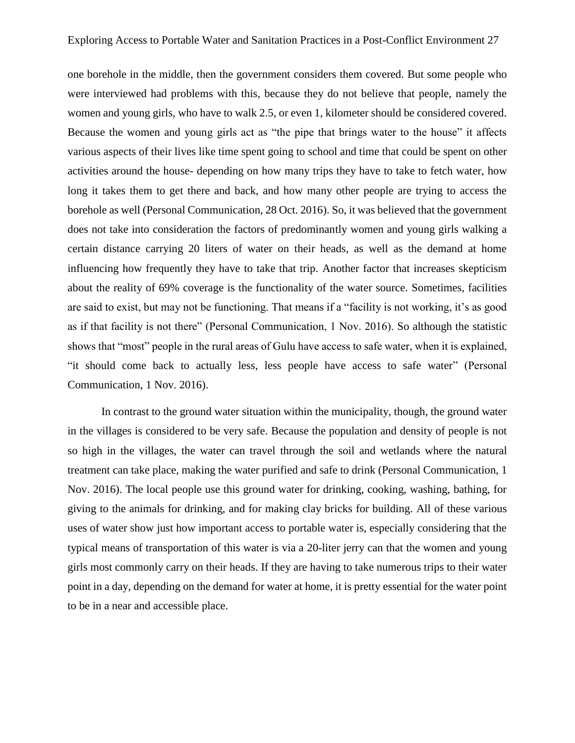one borehole in the middle, then the government considers them covered. But some people who were interviewed had problems with this, because they do not believe that people, namely the women and young girls, who have to walk 2.5, or even 1, kilometer should be considered covered. Because the women and young girls act as "the pipe that brings water to the house" it affects various aspects of their lives like time spent going to school and time that could be spent on other activities around the house- depending on how many trips they have to take to fetch water, how long it takes them to get there and back, and how many other people are trying to access the borehole as well (Personal Communication, 28 Oct. 2016). So, it was believed that the government does not take into consideration the factors of predominantly women and young girls walking a certain distance carrying 20 liters of water on their heads, as well as the demand at home influencing how frequently they have to take that trip. Another factor that increases skepticism about the reality of 69% coverage is the functionality of the water source. Sometimes, facilities are said to exist, but may not be functioning. That means if a "facility is not working, it's as good as if that facility is not there" (Personal Communication, 1 Nov. 2016). So although the statistic shows that "most" people in the rural areas of Gulu have access to safe water, when it is explained, "it should come back to actually less, less people have access to safe water" (Personal Communication, 1 Nov. 2016).

In contrast to the ground water situation within the municipality, though, the ground water in the villages is considered to be very safe. Because the population and density of people is not so high in the villages, the water can travel through the soil and wetlands where the natural treatment can take place, making the water purified and safe to drink (Personal Communication, 1 Nov. 2016). The local people use this ground water for drinking, cooking, washing, bathing, for giving to the animals for drinking, and for making clay bricks for building. All of these various uses of water show just how important access to portable water is, especially considering that the typical means of transportation of this water is via a 20-liter jerry can that the women and young girls most commonly carry on their heads. If they are having to take numerous trips to their water point in a day, depending on the demand for water at home, it is pretty essential for the water point to be in a near and accessible place.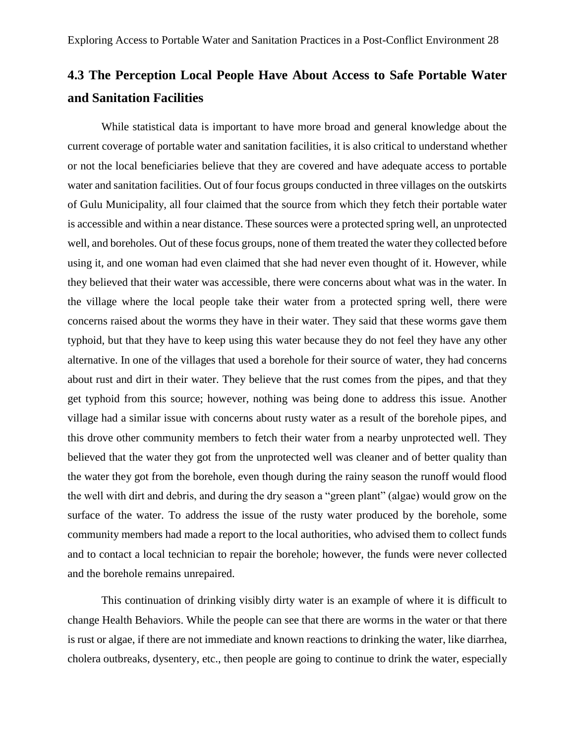# **4.3 The Perception Local People Have About Access to Safe Portable Water and Sanitation Facilities**

While statistical data is important to have more broad and general knowledge about the current coverage of portable water and sanitation facilities, it is also critical to understand whether or not the local beneficiaries believe that they are covered and have adequate access to portable water and sanitation facilities. Out of four focus groups conducted in three villages on the outskirts of Gulu Municipality, all four claimed that the source from which they fetch their portable water is accessible and within a near distance. These sources were a protected spring well, an unprotected well, and boreholes. Out of these focus groups, none of them treated the water they collected before using it, and one woman had even claimed that she had never even thought of it. However, while they believed that their water was accessible, there were concerns about what was in the water. In the village where the local people take their water from a protected spring well, there were concerns raised about the worms they have in their water. They said that these worms gave them typhoid, but that they have to keep using this water because they do not feel they have any other alternative. In one of the villages that used a borehole for their source of water, they had concerns about rust and dirt in their water. They believe that the rust comes from the pipes, and that they get typhoid from this source; however, nothing was being done to address this issue. Another village had a similar issue with concerns about rusty water as a result of the borehole pipes, and this drove other community members to fetch their water from a nearby unprotected well. They believed that the water they got from the unprotected well was cleaner and of better quality than the water they got from the borehole, even though during the rainy season the runoff would flood the well with dirt and debris, and during the dry season a "green plant" (algae) would grow on the surface of the water. To address the issue of the rusty water produced by the borehole, some community members had made a report to the local authorities, who advised them to collect funds and to contact a local technician to repair the borehole; however, the funds were never collected and the borehole remains unrepaired.

This continuation of drinking visibly dirty water is an example of where it is difficult to change Health Behaviors. While the people can see that there are worms in the water or that there is rust or algae, if there are not immediate and known reactions to drinking the water, like diarrhea, cholera outbreaks, dysentery, etc., then people are going to continue to drink the water, especially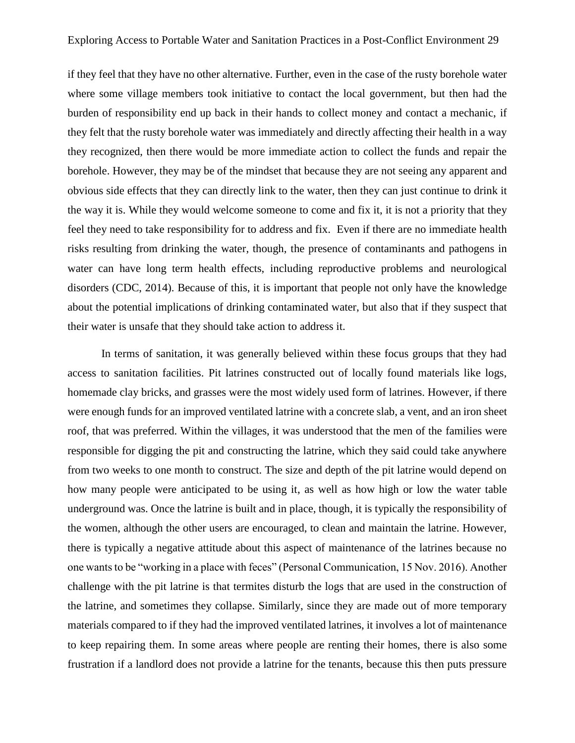if they feel that they have no other alternative. Further, even in the case of the rusty borehole water where some village members took initiative to contact the local government, but then had the burden of responsibility end up back in their hands to collect money and contact a mechanic, if they felt that the rusty borehole water was immediately and directly affecting their health in a way they recognized, then there would be more immediate action to collect the funds and repair the borehole. However, they may be of the mindset that because they are not seeing any apparent and obvious side effects that they can directly link to the water, then they can just continue to drink it the way it is. While they would welcome someone to come and fix it, it is not a priority that they feel they need to take responsibility for to address and fix. Even if there are no immediate health risks resulting from drinking the water, though, the presence of contaminants and pathogens in water can have long term health effects, including reproductive problems and neurological disorders (CDC, 2014). Because of this, it is important that people not only have the knowledge about the potential implications of drinking contaminated water, but also that if they suspect that their water is unsafe that they should take action to address it.

In terms of sanitation, it was generally believed within these focus groups that they had access to sanitation facilities. Pit latrines constructed out of locally found materials like logs, homemade clay bricks, and grasses were the most widely used form of latrines. However, if there were enough funds for an improved ventilated latrine with a concrete slab, a vent, and an iron sheet roof, that was preferred. Within the villages, it was understood that the men of the families were responsible for digging the pit and constructing the latrine, which they said could take anywhere from two weeks to one month to construct. The size and depth of the pit latrine would depend on how many people were anticipated to be using it, as well as how high or low the water table underground was. Once the latrine is built and in place, though, it is typically the responsibility of the women, although the other users are encouraged, to clean and maintain the latrine. However, there is typically a negative attitude about this aspect of maintenance of the latrines because no one wants to be "working in a place with feces" (Personal Communication, 15 Nov. 2016). Another challenge with the pit latrine is that termites disturb the logs that are used in the construction of the latrine, and sometimes they collapse. Similarly, since they are made out of more temporary materials compared to if they had the improved ventilated latrines, it involves a lot of maintenance to keep repairing them. In some areas where people are renting their homes, there is also some frustration if a landlord does not provide a latrine for the tenants, because this then puts pressure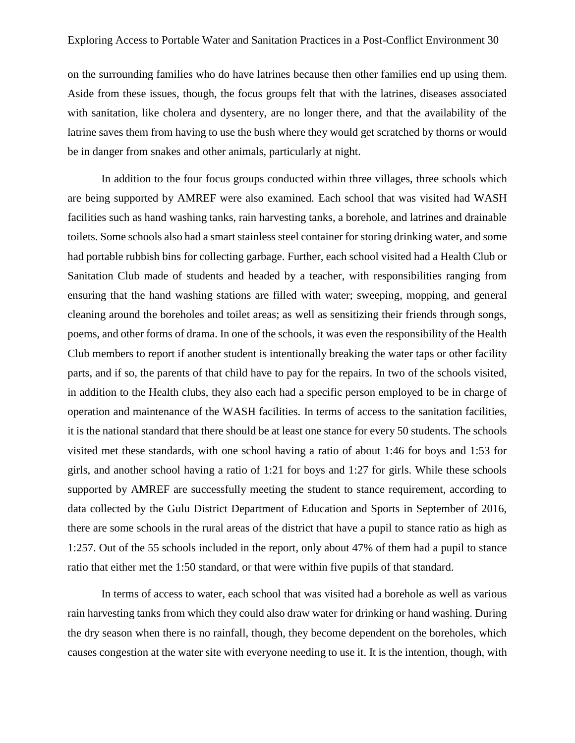on the surrounding families who do have latrines because then other families end up using them. Aside from these issues, though, the focus groups felt that with the latrines, diseases associated with sanitation, like cholera and dysentery, are no longer there, and that the availability of the latrine saves them from having to use the bush where they would get scratched by thorns or would be in danger from snakes and other animals, particularly at night.

In addition to the four focus groups conducted within three villages, three schools which are being supported by AMREF were also examined. Each school that was visited had WASH facilities such as hand washing tanks, rain harvesting tanks, a borehole, and latrines and drainable toilets. Some schools also had a smart stainless steel container for storing drinking water, and some had portable rubbish bins for collecting garbage. Further, each school visited had a Health Club or Sanitation Club made of students and headed by a teacher, with responsibilities ranging from ensuring that the hand washing stations are filled with water; sweeping, mopping, and general cleaning around the boreholes and toilet areas; as well as sensitizing their friends through songs, poems, and other forms of drama. In one of the schools, it was even the responsibility of the Health Club members to report if another student is intentionally breaking the water taps or other facility parts, and if so, the parents of that child have to pay for the repairs. In two of the schools visited, in addition to the Health clubs, they also each had a specific person employed to be in charge of operation and maintenance of the WASH facilities. In terms of access to the sanitation facilities, it is the national standard that there should be at least one stance for every 50 students. The schools visited met these standards, with one school having a ratio of about 1:46 for boys and 1:53 for girls, and another school having a ratio of 1:21 for boys and 1:27 for girls. While these schools supported by AMREF are successfully meeting the student to stance requirement, according to data collected by the Gulu District Department of Education and Sports in September of 2016, there are some schools in the rural areas of the district that have a pupil to stance ratio as high as 1:257. Out of the 55 schools included in the report, only about 47% of them had a pupil to stance ratio that either met the 1:50 standard, or that were within five pupils of that standard.

In terms of access to water, each school that was visited had a borehole as well as various rain harvesting tanks from which they could also draw water for drinking or hand washing. During the dry season when there is no rainfall, though, they become dependent on the boreholes, which causes congestion at the water site with everyone needing to use it. It is the intention, though, with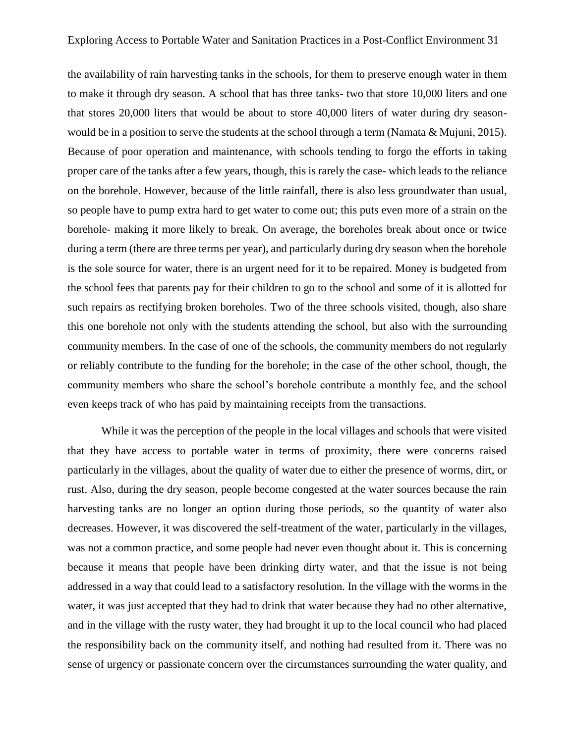the availability of rain harvesting tanks in the schools, for them to preserve enough water in them to make it through dry season. A school that has three tanks- two that store 10,000 liters and one that stores 20,000 liters that would be about to store 40,000 liters of water during dry seasonwould be in a position to serve the students at the school through a term (Namata & Mujuni, 2015). Because of poor operation and maintenance, with schools tending to forgo the efforts in taking proper care of the tanks after a few years, though, this is rarely the case- which leads to the reliance on the borehole. However, because of the little rainfall, there is also less groundwater than usual, so people have to pump extra hard to get water to come out; this puts even more of a strain on the borehole- making it more likely to break. On average, the boreholes break about once or twice during a term (there are three terms per year), and particularly during dry season when the borehole is the sole source for water, there is an urgent need for it to be repaired. Money is budgeted from the school fees that parents pay for their children to go to the school and some of it is allotted for such repairs as rectifying broken boreholes. Two of the three schools visited, though, also share this one borehole not only with the students attending the school, but also with the surrounding community members. In the case of one of the schools, the community members do not regularly or reliably contribute to the funding for the borehole; in the case of the other school, though, the community members who share the school's borehole contribute a monthly fee, and the school even keeps track of who has paid by maintaining receipts from the transactions.

While it was the perception of the people in the local villages and schools that were visited that they have access to portable water in terms of proximity, there were concerns raised particularly in the villages, about the quality of water due to either the presence of worms, dirt, or rust. Also, during the dry season, people become congested at the water sources because the rain harvesting tanks are no longer an option during those periods, so the quantity of water also decreases. However, it was discovered the self-treatment of the water, particularly in the villages, was not a common practice, and some people had never even thought about it. This is concerning because it means that people have been drinking dirty water, and that the issue is not being addressed in a way that could lead to a satisfactory resolution. In the village with the worms in the water, it was just accepted that they had to drink that water because they had no other alternative, and in the village with the rusty water, they had brought it up to the local council who had placed the responsibility back on the community itself, and nothing had resulted from it. There was no sense of urgency or passionate concern over the circumstances surrounding the water quality, and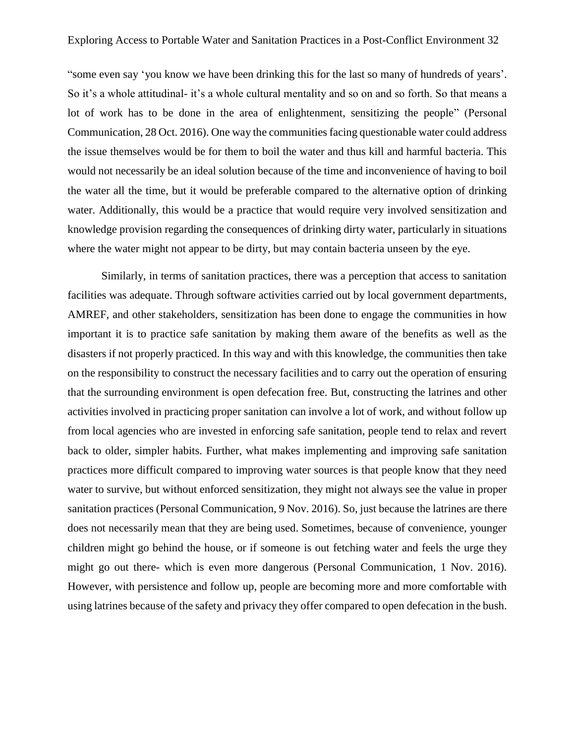"some even say 'you know we have been drinking this for the last so many of hundreds of years'. So it's a whole attitudinal- it's a whole cultural mentality and so on and so forth. So that means a lot of work has to be done in the area of enlightenment, sensitizing the people" (Personal Communication, 28 Oct. 2016). One way the communities facing questionable water could address the issue themselves would be for them to boil the water and thus kill and harmful bacteria. This would not necessarily be an ideal solution because of the time and inconvenience of having to boil the water all the time, but it would be preferable compared to the alternative option of drinking water. Additionally, this would be a practice that would require very involved sensitization and knowledge provision regarding the consequences of drinking dirty water, particularly in situations where the water might not appear to be dirty, but may contain bacteria unseen by the eye.

Similarly, in terms of sanitation practices, there was a perception that access to sanitation facilities was adequate. Through software activities carried out by local government departments, AMREF, and other stakeholders, sensitization has been done to engage the communities in how important it is to practice safe sanitation by making them aware of the benefits as well as the disasters if not properly practiced. In this way and with this knowledge, the communities then take on the responsibility to construct the necessary facilities and to carry out the operation of ensuring that the surrounding environment is open defecation free. But, constructing the latrines and other activities involved in practicing proper sanitation can involve a lot of work, and without follow up from local agencies who are invested in enforcing safe sanitation, people tend to relax and revert back to older, simpler habits. Further, what makes implementing and improving safe sanitation practices more difficult compared to improving water sources is that people know that they need water to survive, but without enforced sensitization, they might not always see the value in proper sanitation practices (Personal Communication, 9 Nov. 2016). So, just because the latrines are there does not necessarily mean that they are being used. Sometimes, because of convenience, younger children might go behind the house, or if someone is out fetching water and feels the urge they might go out there- which is even more dangerous (Personal Communication, 1 Nov. 2016). However, with persistence and follow up, people are becoming more and more comfortable with using latrines because of the safety and privacy they offer compared to open defecation in the bush.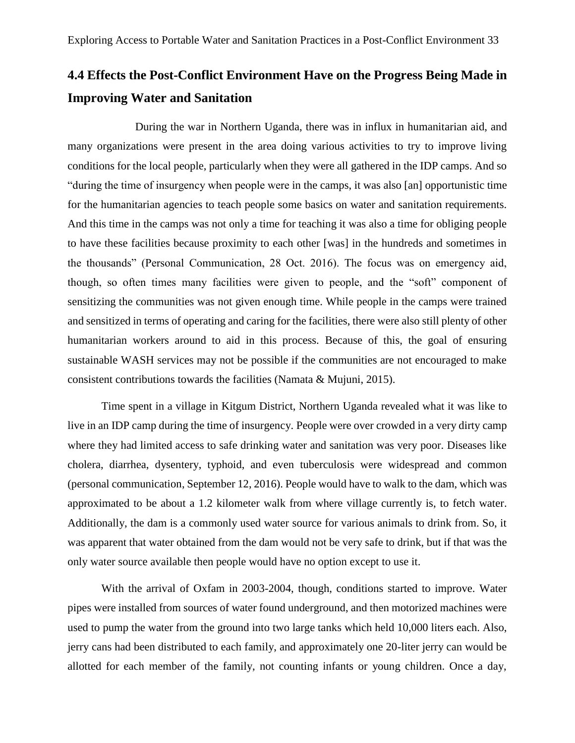# **4.4 Effects the Post-Conflict Environment Have on the Progress Being Made in Improving Water and Sanitation**

During the war in Northern Uganda, there was in influx in humanitarian aid, and many organizations were present in the area doing various activities to try to improve living conditions for the local people, particularly when they were all gathered in the IDP camps. And so "during the time of insurgency when people were in the camps, it was also [an] opportunistic time for the humanitarian agencies to teach people some basics on water and sanitation requirements. And this time in the camps was not only a time for teaching it was also a time for obliging people to have these facilities because proximity to each other [was] in the hundreds and sometimes in the thousands" (Personal Communication, 28 Oct. 2016). The focus was on emergency aid, though, so often times many facilities were given to people, and the "soft" component of sensitizing the communities was not given enough time. While people in the camps were trained and sensitized in terms of operating and caring for the facilities, there were also still plenty of other humanitarian workers around to aid in this process. Because of this, the goal of ensuring sustainable WASH services may not be possible if the communities are not encouraged to make consistent contributions towards the facilities (Namata & Mujuni, 2015).

Time spent in a village in Kitgum District, Northern Uganda revealed what it was like to live in an IDP camp during the time of insurgency. People were over crowded in a very dirty camp where they had limited access to safe drinking water and sanitation was very poor. Diseases like cholera, diarrhea, dysentery, typhoid, and even tuberculosis were widespread and common (personal communication, September 12, 2016). People would have to walk to the dam, which was approximated to be about a 1.2 kilometer walk from where village currently is, to fetch water. Additionally, the dam is a commonly used water source for various animals to drink from. So, it was apparent that water obtained from the dam would not be very safe to drink, but if that was the only water source available then people would have no option except to use it.

With the arrival of Oxfam in 2003-2004, though, conditions started to improve. Water pipes were installed from sources of water found underground, and then motorized machines were used to pump the water from the ground into two large tanks which held 10,000 liters each. Also, jerry cans had been distributed to each family, and approximately one 20-liter jerry can would be allotted for each member of the family, not counting infants or young children. Once a day,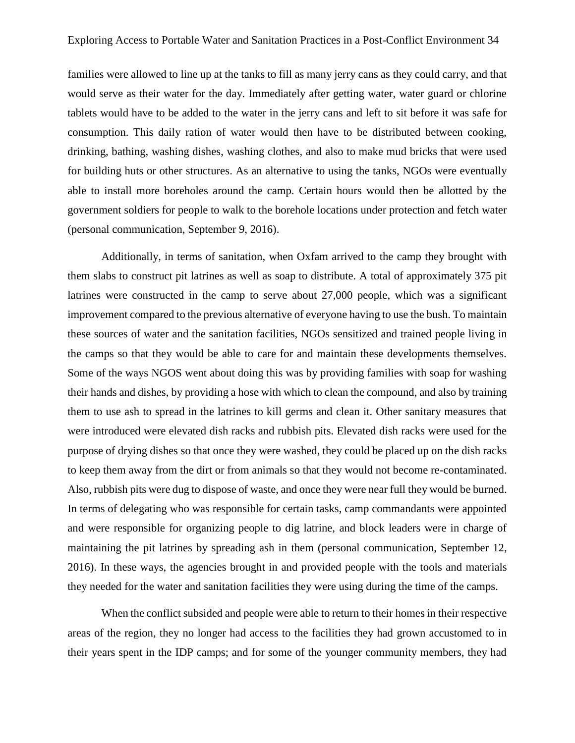families were allowed to line up at the tanks to fill as many jerry cans as they could carry, and that would serve as their water for the day. Immediately after getting water, water guard or chlorine tablets would have to be added to the water in the jerry cans and left to sit before it was safe for consumption. This daily ration of water would then have to be distributed between cooking, drinking, bathing, washing dishes, washing clothes, and also to make mud bricks that were used for building huts or other structures. As an alternative to using the tanks, NGOs were eventually able to install more boreholes around the camp. Certain hours would then be allotted by the government soldiers for people to walk to the borehole locations under protection and fetch water (personal communication, September 9, 2016).

Additionally, in terms of sanitation, when Oxfam arrived to the camp they brought with them slabs to construct pit latrines as well as soap to distribute. A total of approximately 375 pit latrines were constructed in the camp to serve about 27,000 people, which was a significant improvement compared to the previous alternative of everyone having to use the bush. To maintain these sources of water and the sanitation facilities, NGOs sensitized and trained people living in the camps so that they would be able to care for and maintain these developments themselves. Some of the ways NGOS went about doing this was by providing families with soap for washing their hands and dishes, by providing a hose with which to clean the compound, and also by training them to use ash to spread in the latrines to kill germs and clean it. Other sanitary measures that were introduced were elevated dish racks and rubbish pits. Elevated dish racks were used for the purpose of drying dishes so that once they were washed, they could be placed up on the dish racks to keep them away from the dirt or from animals so that they would not become re-contaminated. Also, rubbish pits were dug to dispose of waste, and once they were near full they would be burned. In terms of delegating who was responsible for certain tasks, camp commandants were appointed and were responsible for organizing people to dig latrine, and block leaders were in charge of maintaining the pit latrines by spreading ash in them (personal communication, September 12, 2016). In these ways, the agencies brought in and provided people with the tools and materials they needed for the water and sanitation facilities they were using during the time of the camps.

When the conflict subsided and people were able to return to their homes in their respective areas of the region, they no longer had access to the facilities they had grown accustomed to in their years spent in the IDP camps; and for some of the younger community members, they had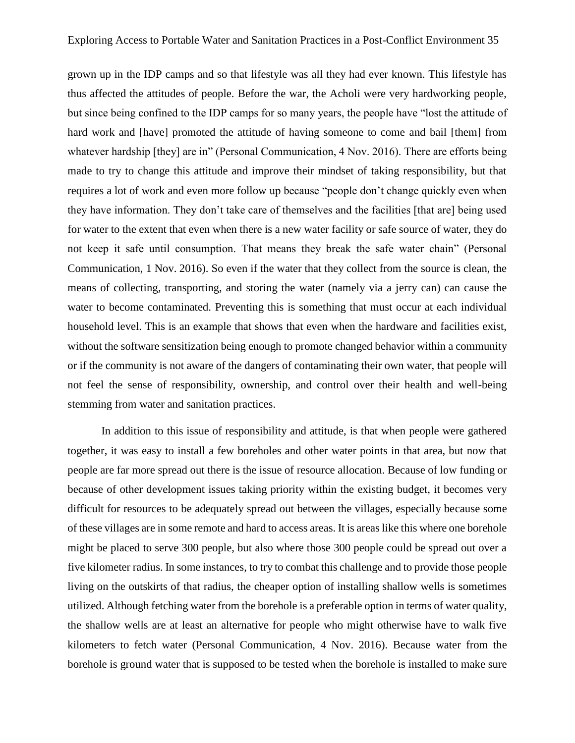grown up in the IDP camps and so that lifestyle was all they had ever known. This lifestyle has thus affected the attitudes of people. Before the war, the Acholi were very hardworking people, but since being confined to the IDP camps for so many years, the people have "lost the attitude of hard work and [have] promoted the attitude of having someone to come and bail [them] from whatever hardship [they] are in" (Personal Communication, 4 Nov. 2016). There are efforts being made to try to change this attitude and improve their mindset of taking responsibility, but that requires a lot of work and even more follow up because "people don't change quickly even when they have information. They don't take care of themselves and the facilities [that are] being used for water to the extent that even when there is a new water facility or safe source of water, they do not keep it safe until consumption. That means they break the safe water chain" (Personal Communication, 1 Nov. 2016). So even if the water that they collect from the source is clean, the means of collecting, transporting, and storing the water (namely via a jerry can) can cause the water to become contaminated. Preventing this is something that must occur at each individual household level. This is an example that shows that even when the hardware and facilities exist, without the software sensitization being enough to promote changed behavior within a community or if the community is not aware of the dangers of contaminating their own water, that people will not feel the sense of responsibility, ownership, and control over their health and well-being stemming from water and sanitation practices.

In addition to this issue of responsibility and attitude, is that when people were gathered together, it was easy to install a few boreholes and other water points in that area, but now that people are far more spread out there is the issue of resource allocation. Because of low funding or because of other development issues taking priority within the existing budget, it becomes very difficult for resources to be adequately spread out between the villages, especially because some of these villages are in some remote and hard to access areas. It is areas like this where one borehole might be placed to serve 300 people, but also where those 300 people could be spread out over a five kilometer radius. In some instances, to try to combat this challenge and to provide those people living on the outskirts of that radius, the cheaper option of installing shallow wells is sometimes utilized. Although fetching water from the borehole is a preferable option in terms of water quality, the shallow wells are at least an alternative for people who might otherwise have to walk five kilometers to fetch water (Personal Communication, 4 Nov. 2016). Because water from the borehole is ground water that is supposed to be tested when the borehole is installed to make sure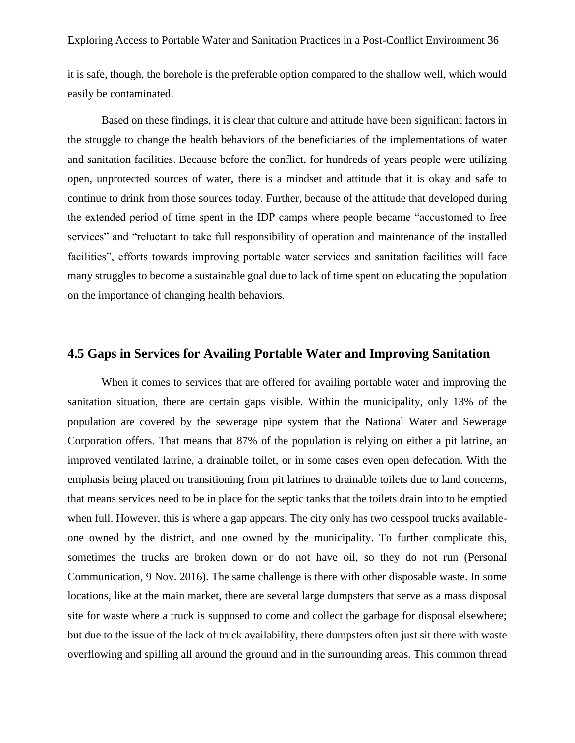it is safe, though, the borehole is the preferable option compared to the shallow well, which would easily be contaminated.

Based on these findings, it is clear that culture and attitude have been significant factors in the struggle to change the health behaviors of the beneficiaries of the implementations of water and sanitation facilities. Because before the conflict, for hundreds of years people were utilizing open, unprotected sources of water, there is a mindset and attitude that it is okay and safe to continue to drink from those sources today. Further, because of the attitude that developed during the extended period of time spent in the IDP camps where people became "accustomed to free services" and "reluctant to take full responsibility of operation and maintenance of the installed facilities", efforts towards improving portable water services and sanitation facilities will face many struggles to become a sustainable goal due to lack of time spent on educating the population on the importance of changing health behaviors.

#### **4.5 Gaps in Services for Availing Portable Water and Improving Sanitation**

When it comes to services that are offered for availing portable water and improving the sanitation situation, there are certain gaps visible. Within the municipality, only 13% of the population are covered by the sewerage pipe system that the National Water and Sewerage Corporation offers. That means that 87% of the population is relying on either a pit latrine, an improved ventilated latrine, a drainable toilet, or in some cases even open defecation. With the emphasis being placed on transitioning from pit latrines to drainable toilets due to land concerns, that means services need to be in place for the septic tanks that the toilets drain into to be emptied when full. However, this is where a gap appears. The city only has two cesspool trucks availableone owned by the district, and one owned by the municipality. To further complicate this, sometimes the trucks are broken down or do not have oil, so they do not run (Personal Communication, 9 Nov. 2016). The same challenge is there with other disposable waste. In some locations, like at the main market, there are several large dumpsters that serve as a mass disposal site for waste where a truck is supposed to come and collect the garbage for disposal elsewhere; but due to the issue of the lack of truck availability, there dumpsters often just sit there with waste overflowing and spilling all around the ground and in the surrounding areas. This common thread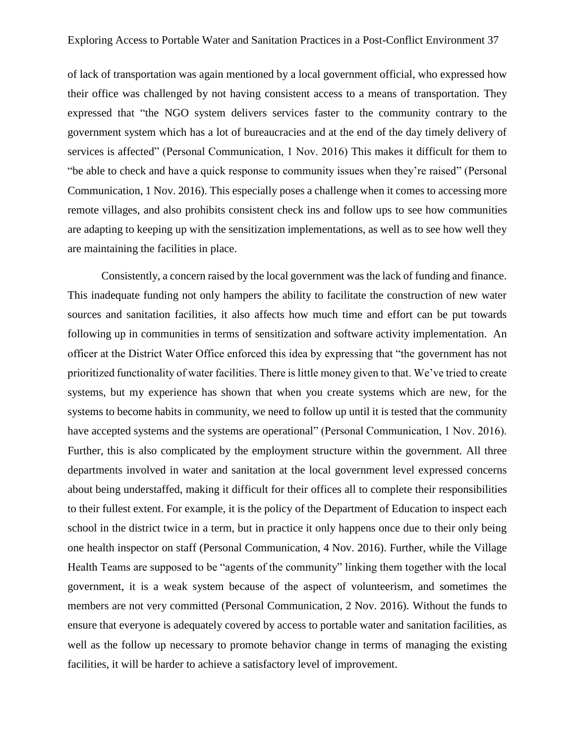of lack of transportation was again mentioned by a local government official, who expressed how their office was challenged by not having consistent access to a means of transportation. They expressed that "the NGO system delivers services faster to the community contrary to the government system which has a lot of bureaucracies and at the end of the day timely delivery of services is affected" (Personal Communication, 1 Nov. 2016) This makes it difficult for them to "be able to check and have a quick response to community issues when they're raised" (Personal Communication, 1 Nov. 2016). This especially poses a challenge when it comes to accessing more remote villages, and also prohibits consistent check ins and follow ups to see how communities are adapting to keeping up with the sensitization implementations, as well as to see how well they are maintaining the facilities in place.

Consistently, a concern raised by the local government was the lack of funding and finance. This inadequate funding not only hampers the ability to facilitate the construction of new water sources and sanitation facilities, it also affects how much time and effort can be put towards following up in communities in terms of sensitization and software activity implementation. An officer at the District Water Office enforced this idea by expressing that "the government has not prioritized functionality of water facilities. There is little money given to that. We've tried to create systems, but my experience has shown that when you create systems which are new, for the systems to become habits in community, we need to follow up until it is tested that the community have accepted systems and the systems are operational" (Personal Communication, 1 Nov. 2016). Further, this is also complicated by the employment structure within the government. All three departments involved in water and sanitation at the local government level expressed concerns about being understaffed, making it difficult for their offices all to complete their responsibilities to their fullest extent. For example, it is the policy of the Department of Education to inspect each school in the district twice in a term, but in practice it only happens once due to their only being one health inspector on staff (Personal Communication, 4 Nov. 2016). Further, while the Village Health Teams are supposed to be "agents of the community" linking them together with the local government, it is a weak system because of the aspect of volunteerism, and sometimes the members are not very committed (Personal Communication, 2 Nov. 2016). Without the funds to ensure that everyone is adequately covered by access to portable water and sanitation facilities, as well as the follow up necessary to promote behavior change in terms of managing the existing facilities, it will be harder to achieve a satisfactory level of improvement.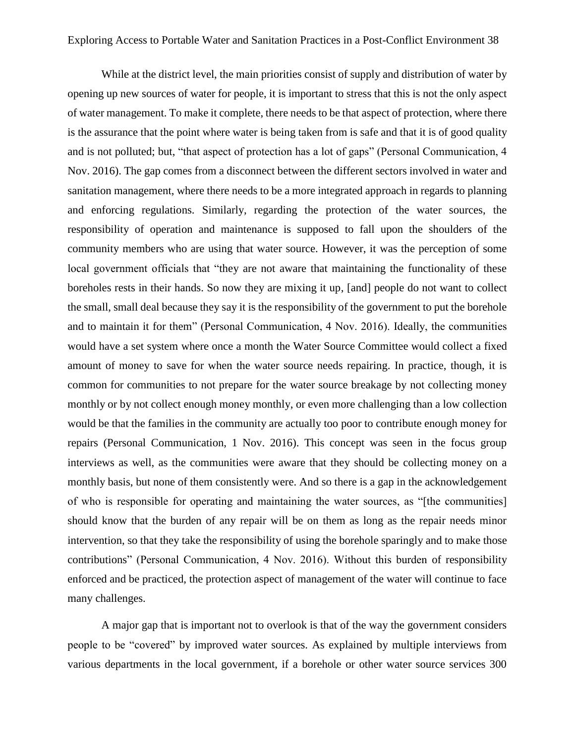While at the district level, the main priorities consist of supply and distribution of water by opening up new sources of water for people, it is important to stress that this is not the only aspect of water management. To make it complete, there needs to be that aspect of protection, where there is the assurance that the point where water is being taken from is safe and that it is of good quality and is not polluted; but, "that aspect of protection has a lot of gaps" (Personal Communication, 4 Nov. 2016). The gap comes from a disconnect between the different sectors involved in water and sanitation management, where there needs to be a more integrated approach in regards to planning and enforcing regulations. Similarly, regarding the protection of the water sources, the responsibility of operation and maintenance is supposed to fall upon the shoulders of the community members who are using that water source. However, it was the perception of some local government officials that "they are not aware that maintaining the functionality of these boreholes rests in their hands. So now they are mixing it up, [and] people do not want to collect the small, small deal because they say it is the responsibility of the government to put the borehole and to maintain it for them" (Personal Communication, 4 Nov. 2016). Ideally, the communities would have a set system where once a month the Water Source Committee would collect a fixed amount of money to save for when the water source needs repairing. In practice, though, it is common for communities to not prepare for the water source breakage by not collecting money monthly or by not collect enough money monthly, or even more challenging than a low collection would be that the families in the community are actually too poor to contribute enough money for repairs (Personal Communication, 1 Nov. 2016). This concept was seen in the focus group interviews as well, as the communities were aware that they should be collecting money on a monthly basis, but none of them consistently were. And so there is a gap in the acknowledgement of who is responsible for operating and maintaining the water sources, as "[the communities] should know that the burden of any repair will be on them as long as the repair needs minor intervention, so that they take the responsibility of using the borehole sparingly and to make those contributions" (Personal Communication, 4 Nov. 2016). Without this burden of responsibility enforced and be practiced, the protection aspect of management of the water will continue to face many challenges.

A major gap that is important not to overlook is that of the way the government considers people to be "covered" by improved water sources. As explained by multiple interviews from various departments in the local government, if a borehole or other water source services 300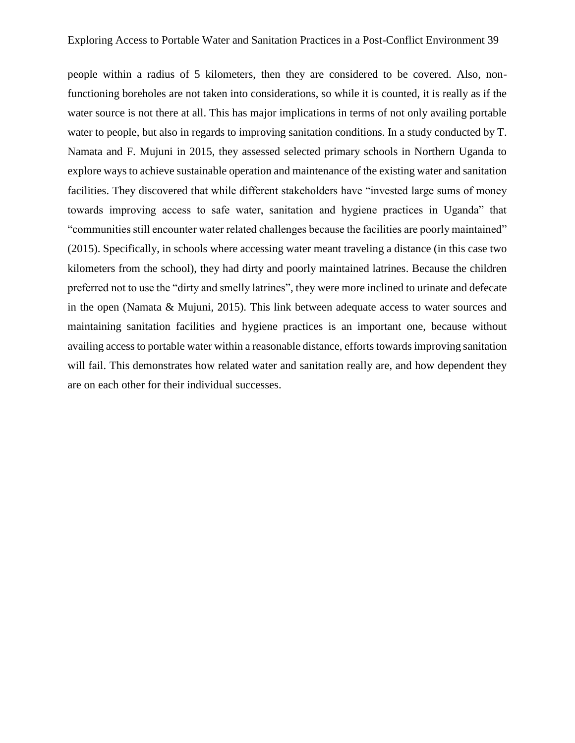people within a radius of 5 kilometers, then they are considered to be covered. Also, nonfunctioning boreholes are not taken into considerations, so while it is counted, it is really as if the water source is not there at all. This has major implications in terms of not only availing portable water to people, but also in regards to improving sanitation conditions. In a study conducted by T. Namata and F. Mujuni in 2015, they assessed selected primary schools in Northern Uganda to explore ways to achieve sustainable operation and maintenance of the existing water and sanitation facilities. They discovered that while different stakeholders have "invested large sums of money towards improving access to safe water, sanitation and hygiene practices in Uganda" that "communities still encounter water related challenges because the facilities are poorly maintained" (2015). Specifically, in schools where accessing water meant traveling a distance (in this case two kilometers from the school), they had dirty and poorly maintained latrines. Because the children preferred not to use the "dirty and smelly latrines", they were more inclined to urinate and defecate in the open (Namata & Mujuni, 2015). This link between adequate access to water sources and maintaining sanitation facilities and hygiene practices is an important one, because without availing access to portable water within a reasonable distance, efforts towards improving sanitation will fail. This demonstrates how related water and sanitation really are, and how dependent they are on each other for their individual successes.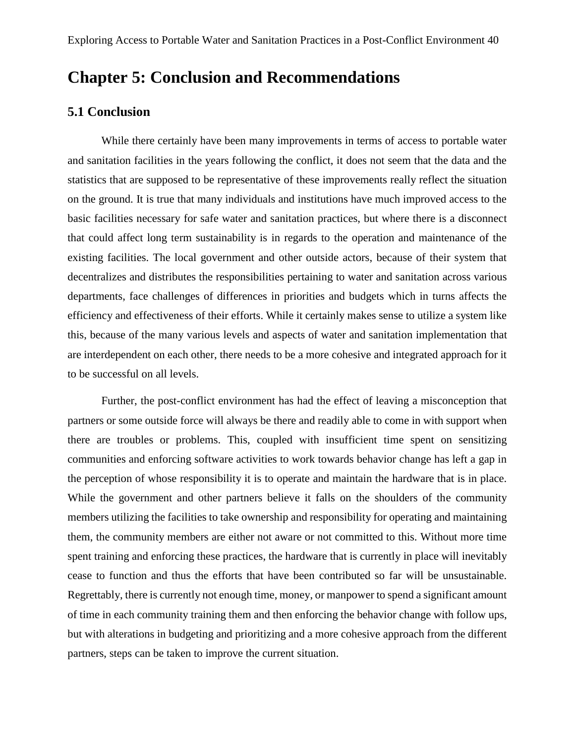# **Chapter 5: Conclusion and Recommendations**

#### **5.1 Conclusion**

While there certainly have been many improvements in terms of access to portable water and sanitation facilities in the years following the conflict, it does not seem that the data and the statistics that are supposed to be representative of these improvements really reflect the situation on the ground. It is true that many individuals and institutions have much improved access to the basic facilities necessary for safe water and sanitation practices, but where there is a disconnect that could affect long term sustainability is in regards to the operation and maintenance of the existing facilities. The local government and other outside actors, because of their system that decentralizes and distributes the responsibilities pertaining to water and sanitation across various departments, face challenges of differences in priorities and budgets which in turns affects the efficiency and effectiveness of their efforts. While it certainly makes sense to utilize a system like this, because of the many various levels and aspects of water and sanitation implementation that are interdependent on each other, there needs to be a more cohesive and integrated approach for it to be successful on all levels.

Further, the post-conflict environment has had the effect of leaving a misconception that partners or some outside force will always be there and readily able to come in with support when there are troubles or problems. This, coupled with insufficient time spent on sensitizing communities and enforcing software activities to work towards behavior change has left a gap in the perception of whose responsibility it is to operate and maintain the hardware that is in place. While the government and other partners believe it falls on the shoulders of the community members utilizing the facilities to take ownership and responsibility for operating and maintaining them, the community members are either not aware or not committed to this. Without more time spent training and enforcing these practices, the hardware that is currently in place will inevitably cease to function and thus the efforts that have been contributed so far will be unsustainable. Regrettably, there is currently not enough time, money, or manpower to spend a significant amount of time in each community training them and then enforcing the behavior change with follow ups, but with alterations in budgeting and prioritizing and a more cohesive approach from the different partners, steps can be taken to improve the current situation.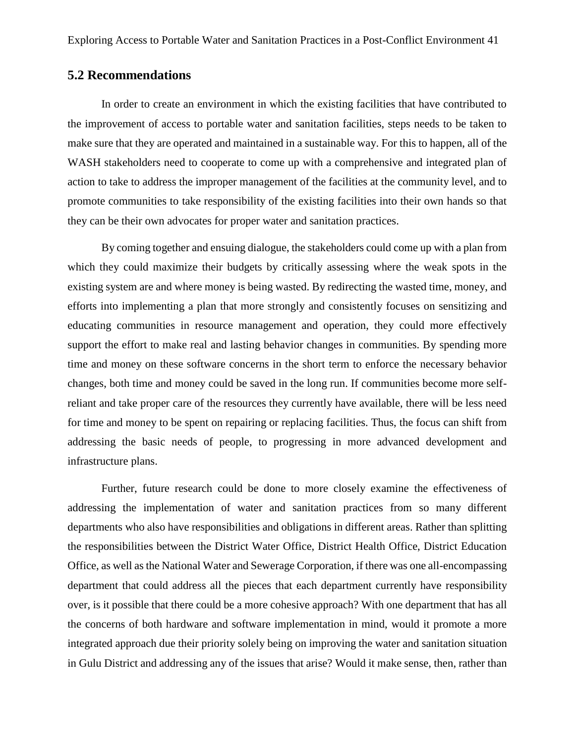#### **5.2 Recommendations**

In order to create an environment in which the existing facilities that have contributed to the improvement of access to portable water and sanitation facilities, steps needs to be taken to make sure that they are operated and maintained in a sustainable way. For this to happen, all of the WASH stakeholders need to cooperate to come up with a comprehensive and integrated plan of action to take to address the improper management of the facilities at the community level, and to promote communities to take responsibility of the existing facilities into their own hands so that they can be their own advocates for proper water and sanitation practices.

By coming together and ensuing dialogue, the stakeholders could come up with a plan from which they could maximize their budgets by critically assessing where the weak spots in the existing system are and where money is being wasted. By redirecting the wasted time, money, and efforts into implementing a plan that more strongly and consistently focuses on sensitizing and educating communities in resource management and operation, they could more effectively support the effort to make real and lasting behavior changes in communities. By spending more time and money on these software concerns in the short term to enforce the necessary behavior changes, both time and money could be saved in the long run. If communities become more selfreliant and take proper care of the resources they currently have available, there will be less need for time and money to be spent on repairing or replacing facilities. Thus, the focus can shift from addressing the basic needs of people, to progressing in more advanced development and infrastructure plans.

Further, future research could be done to more closely examine the effectiveness of addressing the implementation of water and sanitation practices from so many different departments who also have responsibilities and obligations in different areas. Rather than splitting the responsibilities between the District Water Office, District Health Office, District Education Office, as well as the National Water and Sewerage Corporation, if there was one all-encompassing department that could address all the pieces that each department currently have responsibility over, is it possible that there could be a more cohesive approach? With one department that has all the concerns of both hardware and software implementation in mind, would it promote a more integrated approach due their priority solely being on improving the water and sanitation situation in Gulu District and addressing any of the issues that arise? Would it make sense, then, rather than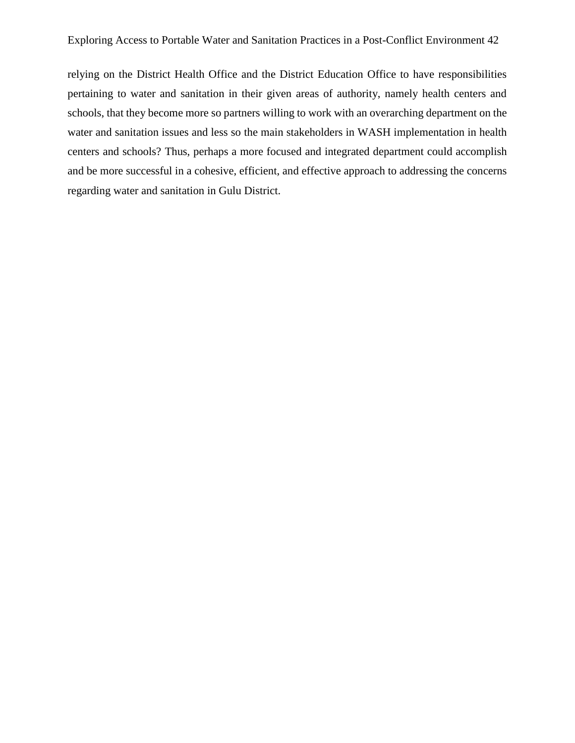relying on the District Health Office and the District Education Office to have responsibilities pertaining to water and sanitation in their given areas of authority, namely health centers and schools, that they become more so partners willing to work with an overarching department on the water and sanitation issues and less so the main stakeholders in WASH implementation in health centers and schools? Thus, perhaps a more focused and integrated department could accomplish and be more successful in a cohesive, efficient, and effective approach to addressing the concerns regarding water and sanitation in Gulu District.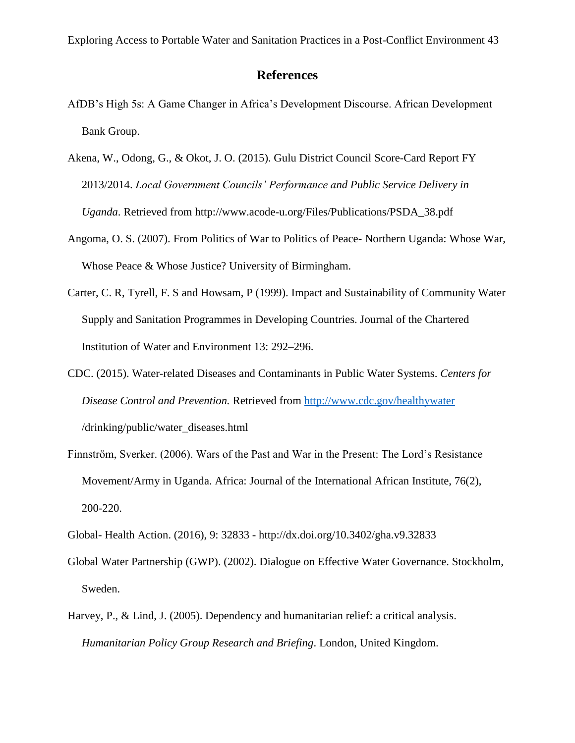### **References**

- AfDB's High 5s: A Game Changer in Africa's Development Discourse. African Development Bank Group.
- Akena, W., Odong, G., & Okot, J. O. (2015). Gulu District Council Score-Card Report FY 2013/2014. *Local Government Councils' Performance and Public Service Delivery in Uganda*. Retrieved from http://www.acode-u.org/Files/Publications/PSDA\_38.pdf
- Angoma, O. S. (2007). From Politics of War to Politics of Peace- Northern Uganda: Whose War, Whose Peace & Whose Justice? University of Birmingham.
- Carter, C. R, Tyrell, F. S and Howsam, P (1999). Impact and Sustainability of Community Water Supply and Sanitation Programmes in Developing Countries. Journal of the Chartered Institution of Water and Environment 13: 292–296.
- CDC. (2015). Water-related Diseases and Contaminants in Public Water Systems. *Centers for Disease Control and Prevention.* Retrieved from <http://www.cdc.gov/healthywater> /drinking/public/water\_diseases.html
- Finnström, Sverker. (2006). Wars of the Past and War in the Present: The Lord's Resistance Movement/Army in Uganda. Africa: Journal of the International African Institute, 76(2), 200-220.
- Global- Health Action. (2016), 9: 32833 http://dx.doi.org/10.3402/gha.v9.32833
- Global Water Partnership (GWP). (2002). Dialogue on Effective Water Governance. Stockholm, Sweden.
- Harvey, P., & Lind, J. (2005). Dependency and humanitarian relief: a critical analysis. *Humanitarian Policy Group Research and Briefing*. London, United Kingdom.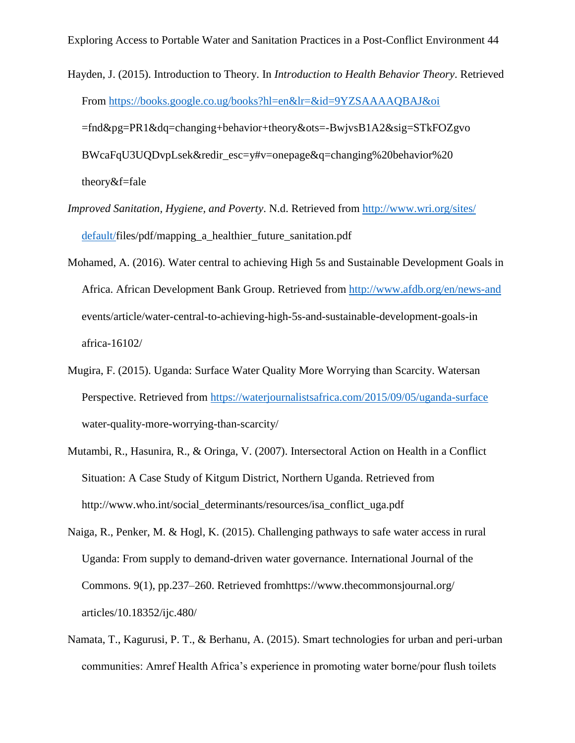Hayden, J. (2015). Introduction to Theory. In *Introduction to Health Behavior Theory*. Retrieved From<https://books.google.co.ug/books?hl=en&lr=&id=9YZSAAAAQBAJ&oi>

=fnd&pg=PR1&dq=changing+behavior+theory&ots=-BwjvsB1A2&sig=STkFOZgvo

BWcaFqU3UQDvpLsek&redir\_esc=y#v=onepage&q=changing%20behavior%20

theory&f=fale

- *Improved Sanitation, Hygiene, and Poverty*. N.d. Retrieved from [http://www.wri.org/sites/](http://www.wri.org/sites/%20%20%20%20%20default/)  [default/f](http://www.wri.org/sites/%20%20%20%20%20default/)iles/pdf/mapping\_a\_healthier\_future\_sanitation.pdf
- Mohamed, A. (2016). Water central to achieving High 5s and Sustainable Development Goals in Africa. African Development Bank Group. Retrieved from<http://www.afdb.org/en/news-and> events/article/water-central-to-achieving-high-5s-and-sustainable-development-goals-in africa-16102/
- Mugira, F. (2015). Uganda: Surface Water Quality More Worrying than Scarcity. Watersan Perspective. Retrieved from<https://waterjournalistsafrica.com/2015/09/05/uganda-surface> water-quality-more-worrying-than-scarcity/
- Mutambi, R., Hasunira, R., & Oringa, V. (2007). Intersectoral Action on Health in a Conflict Situation: A Case Study of Kitgum District, Northern Uganda. Retrieved from http://www.who.int/social\_determinants/resources/isa\_conflict\_uga.pdf
- Naiga, R., Penker, M. & Hogl, K. (2015). Challenging pathways to safe water access in rural Uganda: From supply to demand-driven water governance. International Journal of the Commons. 9(1), pp.237–260. Retrieved fromhttps://www.thecommonsjournal.org/ articles/10.18352/ijc.480/
- Namata, T., Kagurusi, P. T., & Berhanu, A. (2015). Smart technologies for urban and peri-urban communities: Amref Health Africa's experience in promoting water borne/pour flush toilets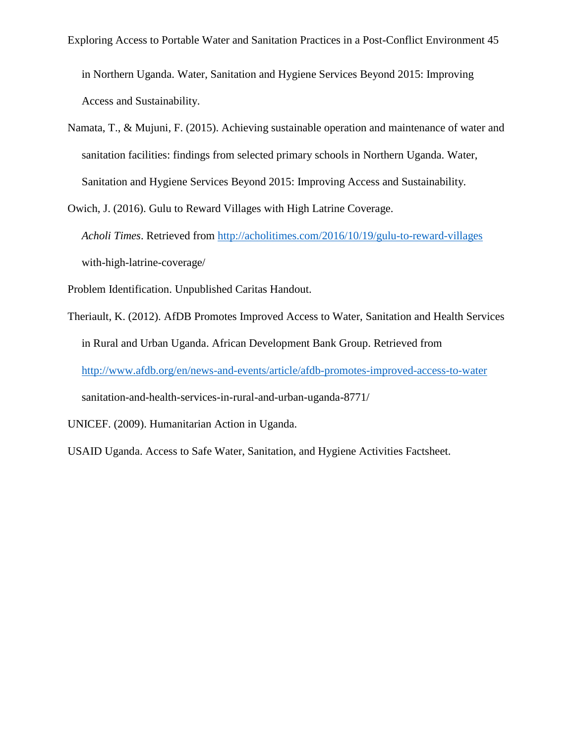in Northern Uganda. Water, Sanitation and Hygiene Services Beyond 2015: Improving Access and Sustainability.

Namata, T., & Mujuni, F. (2015). Achieving sustainable operation and maintenance of water and sanitation facilities: findings from selected primary schools in Northern Uganda. Water, Sanitation and Hygiene Services Beyond 2015: Improving Access and Sustainability.

Owich, J. (2016). Gulu to Reward Villages with High Latrine Coverage. *Acholi Times*. Retrieved from<http://acholitimes.com/2016/10/19/gulu-to-reward-villages> with-high-latrine-coverage/

Problem Identification. Unpublished Caritas Handout.

Theriault, K. (2012). AfDB Promotes Improved Access to Water, Sanitation and Health Services in Rural and Urban Uganda. African Development Bank Group. Retrieved from <http://www.afdb.org/en/news-and-events/article/afdb-promotes-improved-access-to-water> sanitation-and-health-services-in-rural-and-urban-uganda-8771/

UNICEF. (2009). Humanitarian Action in Uganda.

USAID Uganda. Access to Safe Water, Sanitation, and Hygiene Activities Factsheet.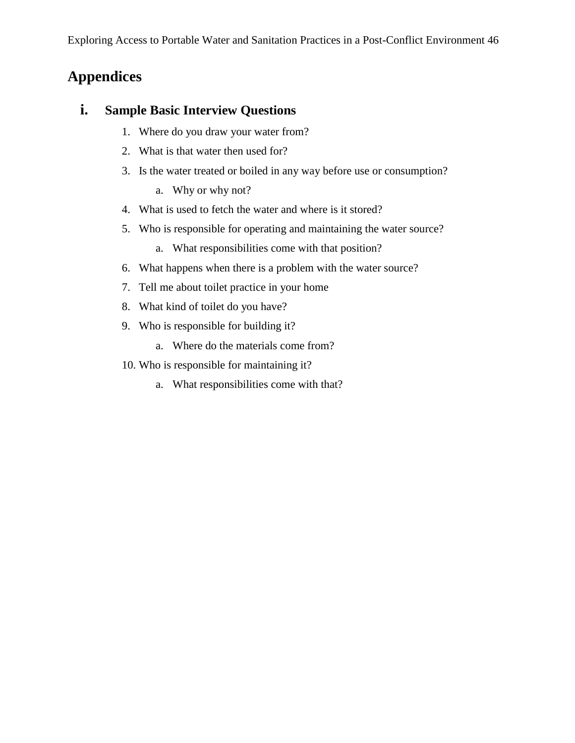# **Appendices**

# **i. Sample Basic Interview Questions**

- 1. Where do you draw your water from?
- 2. What is that water then used for?
- 3. Is the water treated or boiled in any way before use or consumption?
	- a. Why or why not?
- 4. What is used to fetch the water and where is it stored?
- 5. Who is responsible for operating and maintaining the water source?
	- a. What responsibilities come with that position?
- 6. What happens when there is a problem with the water source?
- 7. Tell me about toilet practice in your home
- 8. What kind of toilet do you have?
- 9. Who is responsible for building it?
	- a. Where do the materials come from?
- 10. Who is responsible for maintaining it?
	- a. What responsibilities come with that?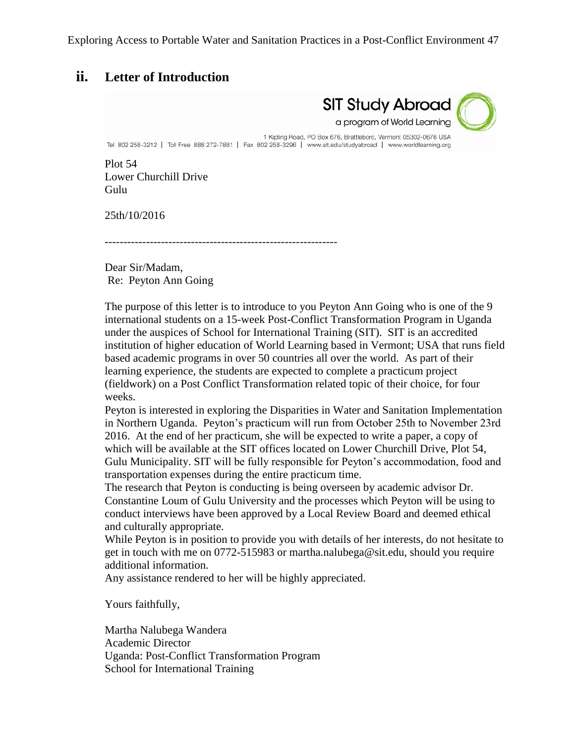## **ii. Letter of Introduction**

**SIT Study Abroad** a program of World Learning

1 Kipling Road, PO Box 676, Brattleboro, Vermont 05302-0676 USA Tel 802 258-3212 | Toll Free 888 272-7881 | Fax 802 258-3296 | www.sit.edu/studyabroad | www.worldlearning.org

Plot 54 Lower Churchill Drive Gulu

25th/10/2016

--------------------------------------------------------------

Dear Sir/Madam, Re: Peyton Ann Going

The purpose of this letter is to introduce to you Peyton Ann Going who is one of the 9 international students on a 15-week Post-Conflict Transformation Program in Uganda under the auspices of School for International Training (SIT). SIT is an accredited institution of higher education of World Learning based in Vermont; USA that runs field based academic programs in over 50 countries all over the world. As part of their learning experience, the students are expected to complete a practicum project (fieldwork) on a Post Conflict Transformation related topic of their choice, for four weeks.

Peyton is interested in exploring the Disparities in Water and Sanitation Implementation in Northern Uganda. Peyton's practicum will run from October 25th to November 23rd 2016. At the end of her practicum, she will be expected to write a paper, a copy of which will be available at the SIT offices located on Lower Churchill Drive, Plot 54, Gulu Municipality. SIT will be fully responsible for Peyton's accommodation, food and transportation expenses during the entire practicum time.

The research that Peyton is conducting is being overseen by academic advisor Dr. Constantine Loum of Gulu University and the processes which Peyton will be using to conduct interviews have been approved by a Local Review Board and deemed ethical and culturally appropriate.

While Peyton is in position to provide you with details of her interests, do not hesitate to get in touch with me on 0772-515983 or martha.nalubega@sit.edu, should you require additional information.

Any assistance rendered to her will be highly appreciated.

Yours faithfully,

Martha Nalubega Wandera Academic Director Uganda: Post-Conflict Transformation Program School for International Training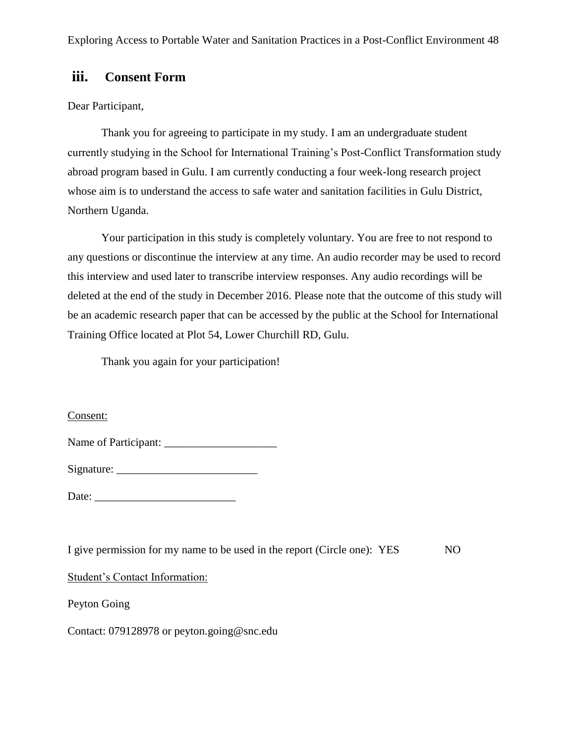# **iii. Consent Form**

#### Dear Participant,

Thank you for agreeing to participate in my study. I am an undergraduate student currently studying in the School for International Training's Post-Conflict Transformation study abroad program based in Gulu. I am currently conducting a four week-long research project whose aim is to understand the access to safe water and sanitation facilities in Gulu District, Northern Uganda.

Your participation in this study is completely voluntary. You are free to not respond to any questions or discontinue the interview at any time. An audio recorder may be used to record this interview and used later to transcribe interview responses. Any audio recordings will be deleted at the end of the study in December 2016. Please note that the outcome of this study will be an academic research paper that can be accessed by the public at the School for International Training Office located at Plot 54, Lower Churchill RD, Gulu.

Thank you again for your participation!

#### Consent:

| Name of Participant: |  |
|----------------------|--|
|                      |  |

| Signature: |  |
|------------|--|
|            |  |
|            |  |

Date:

I give permission for my name to be used in the report (Circle one): YES NO

#### Student's Contact Information:

Peyton Going

Contact: 079128978 or peyton.going@snc.edu